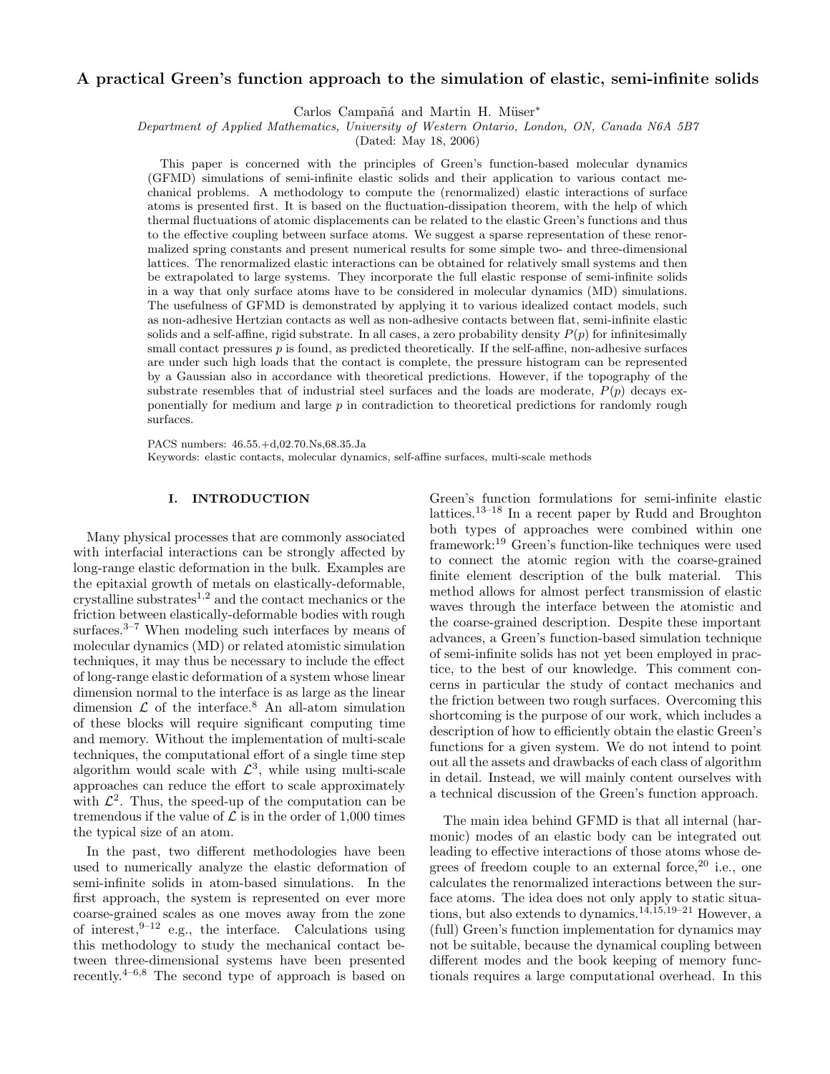# A practical Green's function approach to the simulation of elastic, semi-infinite solids

Carlos Campañá and Martin H. Müser<sup>\*</sup>

Department of Applied Mathematics, University of Western Ontario, London, ON, Canada N6A 5B7

(Dated: May 18, 2006)

This paper is concerned with the principles of Green's function-based molecular dynamics (GFMD) simulations of semi-infinite elastic solids and their application to various contact mechanical problems. A methodology to compute the (renormalized) elastic interactions of surface atoms is presented first. It is based on the fluctuation-dissipation theorem, with the help of which thermal fluctuations of atomic displacements can be related to the elastic Green's functions and thus to the effective coupling between surface atoms. We suggest a sparse representation of these renormalized spring constants and present numerical results for some simple two- and three-dimensional lattices. The renormalized elastic interactions can be obtained for relatively small systems and then be extrapolated to large systems. They incorporate the full elastic response of semi-infinite solids in a way that only surface atoms have to be considered in molecular dynamics (MD) simulations. The usefulness of GFMD is demonstrated by applying it to various idealized contact models, such as non-adhesive Hertzian contacts as well as non-adhesive contacts between flat, semi-infinite elastic solids and a self-affine, rigid substrate. In all cases, a zero probability density  $P(p)$  for infinitesimally small contact pressures  $p$  is found, as predicted theoretically. If the self-affine, non-adhesive surfaces are under such high loads that the contact is complete, the pressure histogram can be represented by a Gaussian also in accordance with theoretical predictions. However, if the topography of the substrate resembles that of industrial steel surfaces and the loads are moderate,  $P(p)$  decays exponentially for medium and large  $p$  in contradiction to theoretical predictions for randomly rough surfaces.

PACS numbers: 46.55.+d,02.70.Ns,68.35.Ja Keywords: elastic contacts, molecular dynamics, self-affine surfaces, multi-scale methods

### I. INTRODUCTION

Many physical processes that are commonly associated with interfacial interactions can be strongly affected by long-range elastic deformation in the bulk. Examples are the epitaxial growth of metals on elastically-deformable, crystalline substrates<sup>1,2</sup> and the contact mechanics or the friction between elastically-deformable bodies with rough surfaces. $3-7$  When modeling such interfaces by means of molecular dynamics (MD) or related atomistic simulation techniques, it may thus be necessary to include the effect of long-range elastic deformation of a system whose linear dimension normal to the interface is as large as the linear dimension  $\mathcal L$  of the interface.<sup>8</sup> An all-atom simulation of these blocks will require significant computing time and memory. Without the implementation of multi-scale techniques, the computational effort of a single time step algorithm would scale with  $\mathcal{L}^3$ , while using multi-scale approaches can reduce the effort to scale approximately with  $\mathcal{L}^2$ . Thus, the speed-up of the computation can be tremendous if the value of  $\mathcal L$  is in the order of 1,000 times the typical size of an atom.

In the past, two different methodologies have been used to numerically analyze the elastic deformation of semi-infinite solids in atom-based simulations. In the first approach, the system is represented on ever more coarse-grained scales as one moves away from the zone of interest,  $9^{-12}$  e.g., the interface. Calculations using this methodology to study the mechanical contact between three-dimensional systems have been presented recently.4–6,8 The second type of approach is based on

Green's function formulations for semi-infinite elastic lattices.13–18 In a recent paper by Rudd and Broughton both types of approaches were combined within one framework:<sup>19</sup> Green's function-like techniques were used to connect the atomic region with the coarse-grained finite element description of the bulk material. This method allows for almost perfect transmission of elastic waves through the interface between the atomistic and the coarse-grained description. Despite these important advances, a Green's function-based simulation technique of semi-infinite solids has not yet been employed in practice, to the best of our knowledge. This comment concerns in particular the study of contact mechanics and the friction between two rough surfaces. Overcoming this shortcoming is the purpose of our work, which includes a description of how to efficiently obtain the elastic Green's functions for a given system. We do not intend to point out all the assets and drawbacks of each class of algorithm in detail. Instead, we will mainly content ourselves with a technical discussion of the Green's function approach.

The main idea behind GFMD is that all internal (harmonic) modes of an elastic body can be integrated out leading to effective interactions of those atoms whose degrees of freedom couple to an external force,  $20$  i.e., one calculates the renormalized interactions between the surface atoms. The idea does not only apply to static situations, but also extends to dynamics.<sup>14,15,19–21</sup> However, a (full) Green's function implementation for dynamics may not be suitable, because the dynamical coupling between different modes and the book keeping of memory functionals requires a large computational overhead. In this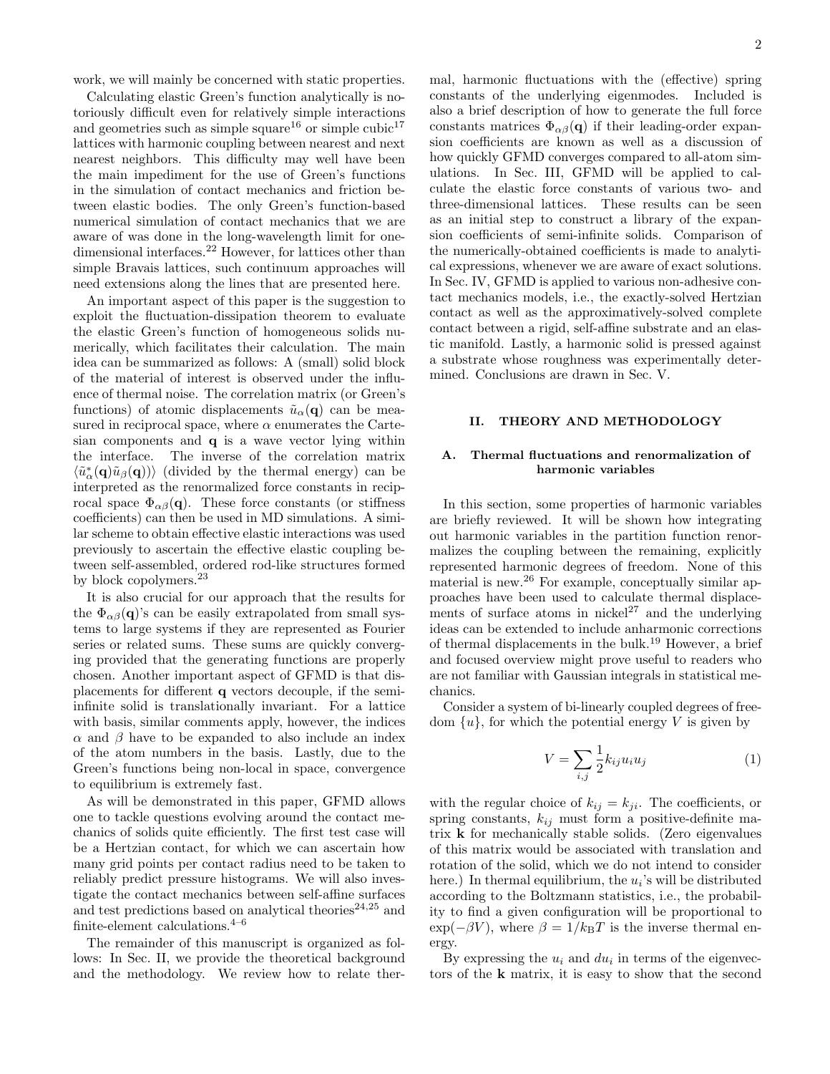work, we will mainly be concerned with static properties.

Calculating elastic Green's function analytically is notoriously difficult even for relatively simple interactions and geometries such as simple square<sup>16</sup> or simple cubic<sup>17</sup> lattices with harmonic coupling between nearest and next nearest neighbors. This difficulty may well have been the main impediment for the use of Green's functions in the simulation of contact mechanics and friction between elastic bodies. The only Green's function-based numerical simulation of contact mechanics that we are aware of was done in the long-wavelength limit for onedimensional interfaces.<sup>22</sup> However, for lattices other than simple Bravais lattices, such continuum approaches will need extensions along the lines that are presented here.

An important aspect of this paper is the suggestion to exploit the fluctuation-dissipation theorem to evaluate the elastic Green's function of homogeneous solids numerically, which facilitates their calculation. The main idea can be summarized as follows: A (small) solid block of the material of interest is observed under the influence of thermal noise. The correlation matrix (or Green's functions) of atomic displacements  $\tilde{u}_{\alpha}(\mathbf{q})$  can be measured in reciprocal space, where  $\alpha$  enumerates the Cartesian components and  $q$  is a wave vector lying within the interface. The inverse of the correlation matrix  $\langle \tilde{u}^*_{\alpha}(\mathbf{q})\tilde{u}_{\beta}(\mathbf{q})\rangle$  (divided by the thermal energy) can be interpreted as the renormalized force constants in reciprocal space  $\Phi_{\alpha\beta}(\mathbf{q})$ . These force constants (or stiffness coefficients) can then be used in MD simulations. A similar scheme to obtain effective elastic interactions was used previously to ascertain the effective elastic coupling between self-assembled, ordered rod-like structures formed by block copolymers.<sup>23</sup>

It is also crucial for our approach that the results for the  $\Phi_{\alpha\beta}(\mathbf{q})$ 's can be easily extrapolated from small systems to large systems if they are represented as Fourier series or related sums. These sums are quickly converging provided that the generating functions are properly chosen. Another important aspect of GFMD is that displacements for different q vectors decouple, if the semiinfinite solid is translationally invariant. For a lattice with basis, similar comments apply, however, the indices  $\alpha$  and  $\beta$  have to be expanded to also include an index of the atom numbers in the basis. Lastly, due to the Green's functions being non-local in space, convergence to equilibrium is extremely fast.

As will be demonstrated in this paper, GFMD allows one to tackle questions evolving around the contact mechanics of solids quite efficiently. The first test case will be a Hertzian contact, for which we can ascertain how many grid points per contact radius need to be taken to reliably predict pressure histograms. We will also investigate the contact mechanics between self-affine surfaces and test predictions based on analytical theories<sup>24,25</sup> and finite-element calculations.4–6

The remainder of this manuscript is organized as follows: In Sec. II, we provide the theoretical background and the methodology. We review how to relate thermal, harmonic fluctuations with the (effective) spring constants of the underlying eigenmodes. Included is also a brief description of how to generate the full force constants matrices  $\Phi_{\alpha\beta}(\mathbf{q})$  if their leading-order expansion coefficients are known as well as a discussion of how quickly GFMD converges compared to all-atom simulations. In Sec. III, GFMD will be applied to calculate the elastic force constants of various two- and three-dimensional lattices. These results can be seen as an initial step to construct a library of the expansion coefficients of semi-infinite solids. Comparison of the numerically-obtained coefficients is made to analytical expressions, whenever we are aware of exact solutions. In Sec. IV, GFMD is applied to various non-adhesive contact mechanics models, i.e., the exactly-solved Hertzian contact as well as the approximatively-solved complete contact between a rigid, self-affine substrate and an elastic manifold. Lastly, a harmonic solid is pressed against

#### II. THEORY AND METHODOLOGY

a substrate whose roughness was experimentally deter-

mined. Conclusions are drawn in Sec. V.

## A. Thermal fluctuations and renormalization of harmonic variables

In this section, some properties of harmonic variables are briefly reviewed. It will be shown how integrating out harmonic variables in the partition function renormalizes the coupling between the remaining, explicitly represented harmonic degrees of freedom. None of this material is new.<sup>26</sup> For example, conceptually similar approaches have been used to calculate thermal displacements of surface atoms in nickel $27$  and the underlying ideas can be extended to include anharmonic corrections of thermal displacements in the bulk.<sup>19</sup> However, a brief and focused overview might prove useful to readers who are not familiar with Gaussian integrals in statistical mechanics.

Consider a system of bi-linearly coupled degrees of freedom  $\{u\}$ , for which the potential energy V is given by

$$
V = \sum_{i,j} \frac{1}{2} k_{ij} u_i u_j \tag{1}
$$

with the regular choice of  $k_{ij} = k_{ji}$ . The coefficients, or spring constants,  $k_{ij}$  must form a positive-definite matrix k for mechanically stable solids. (Zero eigenvalues of this matrix would be associated with translation and rotation of the solid, which we do not intend to consider here.) In thermal equilibrium, the  $u_i$ 's will be distributed according to the Boltzmann statistics, i.e., the probability to find a given configuration will be proportional to  $\exp(-\beta V)$ , where  $\beta = 1/k_BT$  is the inverse thermal energy.

By expressing the  $u_i$  and  $du_i$  in terms of the eigenvectors of the k matrix, it is easy to show that the second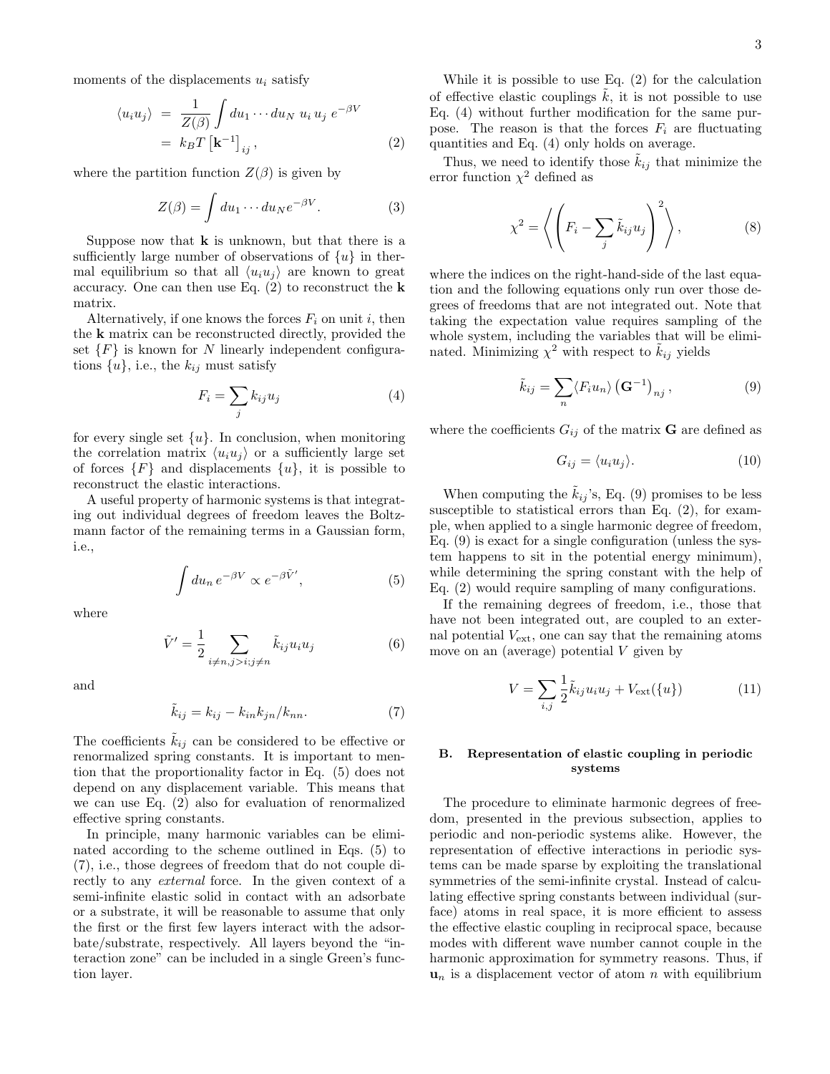moments of the displacements  $u_i$  satisfy

$$
\langle u_i u_j \rangle = \frac{1}{Z(\beta)} \int du_1 \cdots du_N \ u_i \ u_j \ e^{-\beta V}
$$

$$
= k_B T \left[ \mathbf{k}^{-1} \right]_{ij}, \tag{2}
$$

where the partition function  $Z(\beta)$  is given by

$$
Z(\beta) = \int du_1 \cdots du_N e^{-\beta V}.
$$
 (3)

Suppose now that  $k$  is unknown, but that there is a sufficiently large number of observations of  $\{u\}$  in thermal equilibrium so that all  $\langle u_i u_j \rangle$  are known to great accuracy. One can then use Eq.  $(2)$  to reconstruct the **k** matrix.

Alternatively, if one knows the forces  $F_i$  on unit i, then the k matrix can be reconstructed directly, provided the set  $\{F\}$  is known for N linearly independent configurations  $\{u\}$ , i.e., the  $k_{ij}$  must satisfy

$$
F_i = \sum_j k_{ij} u_j \tag{4}
$$

for every single set  $\{u\}$ . In conclusion, when monitoring the correlation matrix  $\langle u_i u_j \rangle$  or a sufficiently large set of forces  $\{F\}$  and displacements  $\{u\}$ , it is possible to reconstruct the elastic interactions.

A useful property of harmonic systems is that integrating out individual degrees of freedom leaves the Boltzmann factor of the remaining terms in a Gaussian form, i.e.,

$$
\int du_n e^{-\beta V} \propto e^{-\beta \tilde{V}'},\tag{5}
$$

where

$$
\tilde{V}' = \frac{1}{2} \sum_{i \neq n, j > i; j \neq n} \tilde{k}_{ij} u_i u_j \tag{6}
$$

and

$$
\tilde{k}_{ij} = k_{ij} - k_{in}k_{jn}/k_{nn}.\tag{7}
$$

The coefficients  $\tilde{k}_{ij}$  can be considered to be effective or renormalized spring constants. It is important to mention that the proportionality factor in Eq. (5) does not depend on any displacement variable. This means that we can use Eq. (2) also for evaluation of renormalized effective spring constants.

In principle, many harmonic variables can be eliminated according to the scheme outlined in Eqs. (5) to (7), i.e., those degrees of freedom that do not couple directly to any external force. In the given context of a semi-infinite elastic solid in contact with an adsorbate or a substrate, it will be reasonable to assume that only the first or the first few layers interact with the adsorbate/substrate, respectively. All layers beyond the "interaction zone" can be included in a single Green's function layer.

While it is possible to use Eq. (2) for the calculation of effective elastic couplings  $\tilde{k}$ , it is not possible to use Eq. (4) without further modification for the same purpose. The reason is that the forces  $F_i$  are fluctuating quantities and Eq. (4) only holds on average.

Thus, we need to identify those  $\tilde{k}_{ij}$  that minimize the error function  $\chi^2$  defined as

$$
\chi^2 = \left\langle \left( F_i - \sum_j \tilde{k}_{ij} u_j \right)^2 \right\rangle, \tag{8}
$$

where the indices on the right-hand-side of the last equation and the following equations only run over those degrees of freedoms that are not integrated out. Note that taking the expectation value requires sampling of the whole system, including the variables that will be eliminated. Minimizing  $\chi^2$  with respect to  $\tilde{k}_{ij}$  yields

$$
\tilde{k}_{ij} = \sum_{n} \langle F_i u_n \rangle \left(\mathbf{G}^{-1}\right)_{nj},\tag{9}
$$

where the coefficients  $G_{ij}$  of the matrix **G** are defined as

$$
G_{ij} = \langle u_i u_j \rangle. \tag{10}
$$

When computing the  $k_{ij}$ 's, Eq. (9) promises to be less susceptible to statistical errors than Eq. (2), for example, when applied to a single harmonic degree of freedom, Eq. (9) is exact for a single configuration (unless the system happens to sit in the potential energy minimum), while determining the spring constant with the help of Eq. (2) would require sampling of many configurations.

If the remaining degrees of freedom, i.e., those that have not been integrated out, are coupled to an external potential  $V_{\text{ext}}$ , one can say that the remaining atoms move on an (average) potential V given by

$$
V = \sum_{i,j} \frac{1}{2} \tilde{k}_{ij} u_i u_j + V_{\text{ext}}(\{u\})
$$
 (11)

### B. Representation of elastic coupling in periodic systems

The procedure to eliminate harmonic degrees of freedom, presented in the previous subsection, applies to periodic and non-periodic systems alike. However, the representation of effective interactions in periodic systems can be made sparse by exploiting the translational symmetries of the semi-infinite crystal. Instead of calculating effective spring constants between individual (surface) atoms in real space, it is more efficient to assess the effective elastic coupling in reciprocal space, because modes with different wave number cannot couple in the harmonic approximation for symmetry reasons. Thus, if  $u_n$  is a displacement vector of atom n with equilibrium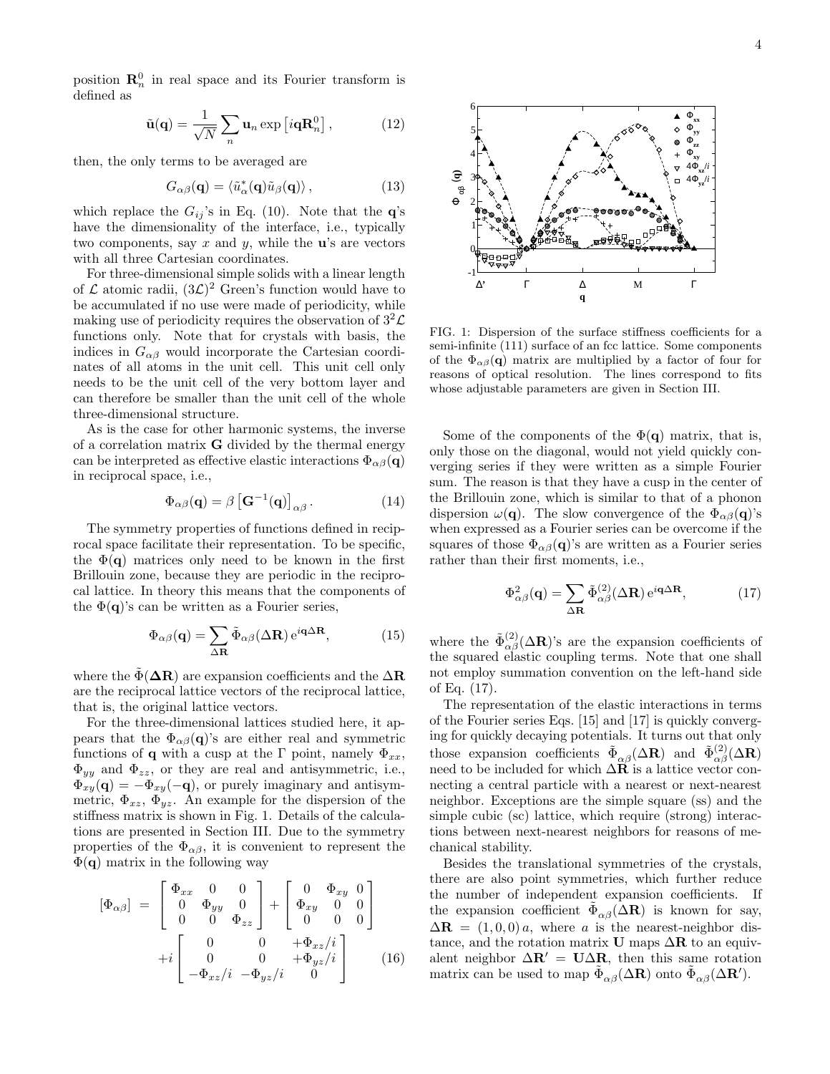position  $\mathbf{R}_n^0$  in real space and its Fourier transform is defined as

$$
\tilde{\mathbf{u}}(\mathbf{q}) = \frac{1}{\sqrt{N}} \sum_{n} \mathbf{u}_{n} \exp\left[i\mathbf{q} \mathbf{R}_{n}^{0}\right],\tag{12}
$$

then, the only terms to be averaged are

$$
G_{\alpha\beta}(\mathbf{q}) = \langle \tilde{u}_{\alpha}^*(\mathbf{q})\tilde{u}_{\beta}(\mathbf{q}) \rangle, \qquad (13)
$$

which replace the  $G_{ij}$ 's in Eq. (10). Note that the **q**'s have the dimensionality of the interface, i.e., typically two components, say x and y, while the  $\mathbf{u}$ 's are vectors with all three Cartesian coordinates.

For three-dimensional simple solids with a linear length of  $\mathcal L$  atomic radii,  $(3\mathcal L)^2$  Green's function would have to be accumulated if no use were made of periodicity, while making use of periodicity requires the observation of  $3^2\mathcal{L}$ functions only. Note that for crystals with basis, the indices in  $G_{\alpha\beta}$  would incorporate the Cartesian coordinates of all atoms in the unit cell. This unit cell only needs to be the unit cell of the very bottom layer and can therefore be smaller than the unit cell of the whole three-dimensional structure.

As is the case for other harmonic systems, the inverse of a correlation matrix  $G$  divided by the thermal energy can be interpreted as effective elastic interactions  $\Phi_{\alpha\beta}(\mathbf{q})$ in reciprocal space, i.e.,

$$
\Phi_{\alpha\beta}(\mathbf{q}) = \beta \left[ \mathbf{G}^{-1}(\mathbf{q}) \right]_{\alpha\beta}.
$$
 (14)

The symmetry properties of functions defined in reciprocal space facilitate their representation. To be specific, the  $\Phi(\mathbf{q})$  matrices only need to be known in the first Brillouin zone, because they are periodic in the reciprocal lattice. In theory this means that the components of the  $\Phi(\mathbf{q})$ 's can be written as a Fourier series,

$$
\Phi_{\alpha\beta}(\mathbf{q}) = \sum_{\Delta \mathbf{R}} \tilde{\Phi}_{\alpha\beta}(\Delta \mathbf{R}) e^{i\mathbf{q}\Delta \mathbf{R}},\tag{15}
$$

where the  $\Phi(\Delta \mathbf{R})$  are expansion coefficients and the  $\Delta \mathbf{R}$ are the reciprocal lattice vectors of the reciprocal lattice, that is, the original lattice vectors.

For the three-dimensional lattices studied here, it appears that the  $\Phi_{\alpha\beta}(\mathbf{q})$ 's are either real and symmetric functions of **q** with a cusp at the  $\Gamma$  point, namely  $\Phi_{xx}$ ,  $\Phi_{yy}$  and  $\Phi_{zz}$ , or they are real and antisymmetric, i.e.,  $\Phi_{xy}(\mathbf{q}) = -\Phi_{xy}(-\mathbf{q})$ , or purely imaginary and antisymmetric,  $\Phi_{xz}$ ,  $\Phi_{yz}$ . An example for the dispersion of the stiffness matrix is shown in Fig. 1. Details of the calculations are presented in Section III. Due to the symmetry properties of the  $\Phi_{\alpha\beta}$ , it is convenient to represent the  $\Phi(\mathbf{q})$  matrix in the following way

$$
\begin{aligned}\n[\Phi_{\alpha\beta}] &= \begin{bmatrix} \Phi_{xx} & 0 & 0 \\ 0 & \Phi_{yy} & 0 \\ 0 & 0 & \Phi_{zz} \end{bmatrix} + \begin{bmatrix} 0 & \Phi_{xy} & 0 \\ \Phi_{xy} & 0 & 0 \\ 0 & 0 & 0 \end{bmatrix} \\
+i \begin{bmatrix} 0 & 0 & +\Phi_{xz}/i \\ 0 & 0 & +\Phi_{yz}/i \\ -\Phi_{xz}/i & -\Phi_{yz}/i & 0 \end{bmatrix} \n\end{aligned}
$$
\n(16)



FIG. 1: Dispersion of the surface stiffness coefficients for a semi-infinite (111) surface of an fcc lattice. Some components of the  $\Phi_{\alpha\beta}(\mathbf{q})$  matrix are multiplied by a factor of four for reasons of optical resolution. The lines correspond to fits whose adjustable parameters are given in Section III.

Some of the components of the  $\Phi(\mathbf{q})$  matrix, that is, only those on the diagonal, would not yield quickly converging series if they were written as a simple Fourier sum. The reason is that they have a cusp in the center of the Brillouin zone, which is similar to that of a phonon dispersion  $\omega(\mathbf{q})$ . The slow convergence of the  $\Phi_{\alpha\beta}(\mathbf{q})$ 's when expressed as a Fourier series can be overcome if the squares of those  $\Phi_{\alpha\beta}(\mathbf{q})$ 's are written as a Fourier series rather than their first moments, i.e.,

$$
\Phi_{\alpha\beta}^2(\mathbf{q}) = \sum_{\Delta \mathbf{R}} \tilde{\Phi}_{\alpha\beta}^{(2)}(\Delta \mathbf{R}) e^{i\mathbf{q}\Delta \mathbf{R}},\tag{17}
$$

where the  $\tilde{\Phi}^{(2)}_{\alpha\beta}(\Delta \mathbf{R})$ 's are the expansion coefficients of the squared elastic coupling terms. Note that one shall not employ summation convention on the left-hand side of Eq. (17).

The representation of the elastic interactions in terms of the Fourier series Eqs. [15] and [17] is quickly converging for quickly decaying potentials. It turns out that only those expansion coefficients  $\tilde{\Phi}_{\alpha\beta}(\Delta \mathbf{R})$  and  $\tilde{\Phi}_{\alpha\beta}^{(2)}(\Delta \mathbf{R})$ need to be included for which  $\Delta \mathbf{R}$  is a lattice vector connecting a central particle with a nearest or next-nearest neighbor. Exceptions are the simple square (ss) and the simple cubic (sc) lattice, which require (strong) interactions between next-nearest neighbors for reasons of mechanical stability.

Besides the translational symmetries of the crystals, there are also point symmetries, which further reduce the number of independent expansion coefficients. If the expansion coefficient  $\tilde{\Phi}_{\alpha\beta}(\Delta \mathbf{R})$  is known for say,  $\Delta \mathbf{R} = (1, 0, 0) a$ , where a is the nearest-neighbor distance, and the rotation matrix **U** maps  $\Delta \mathbf{R}$  to an equivalent neighbor  $\Delta \mathbf{R}' = \mathbf{U} \Delta \mathbf{R}$ , then this same rotation matrix can be used to map  $\tilde{\Phi}_{\alpha\beta}(\Delta \mathbf{R})$  onto  $\tilde{\Phi}_{\alpha\beta}(\Delta \mathbf{R}')$ .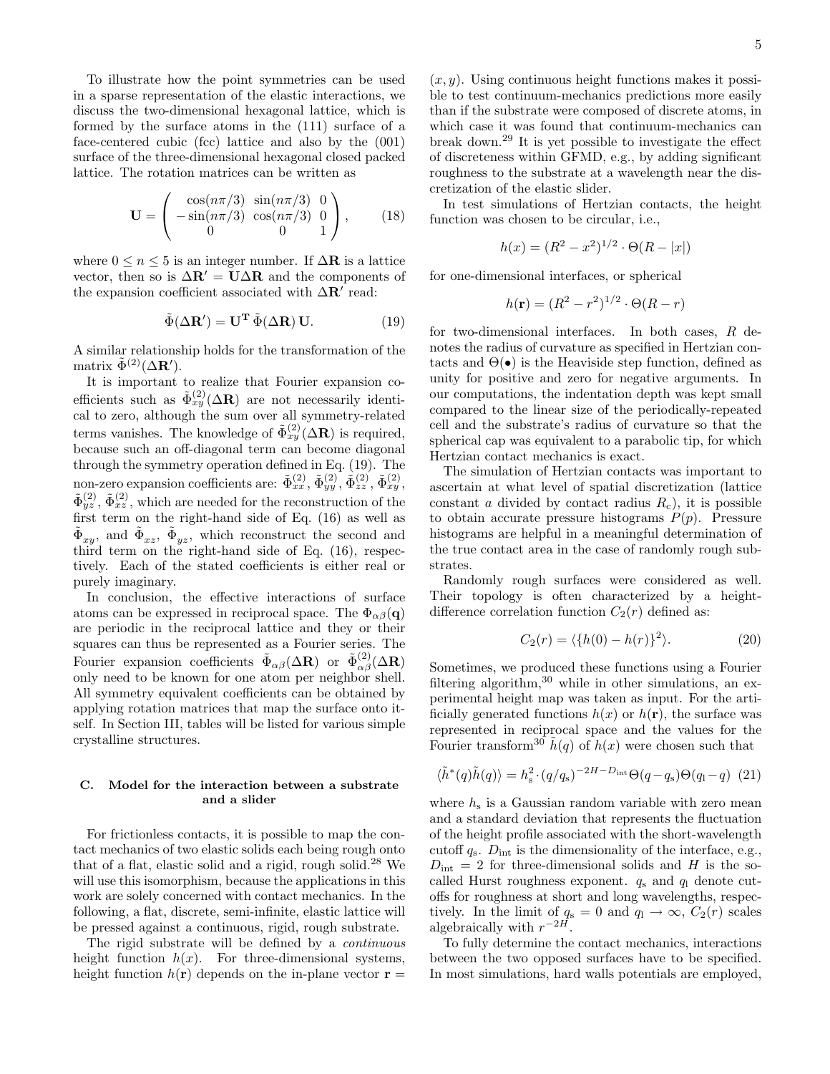To illustrate how the point symmetries can be used in a sparse representation of the elastic interactions, we discuss the two-dimensional hexagonal lattice, which is formed by the surface atoms in the (111) surface of a face-centered cubic (fcc) lattice and also by the (001) surface of the three-dimensional hexagonal closed packed lattice. The rotation matrices can be written as

$$
\mathbf{U} = \begin{pmatrix} \cos(n\pi/3) & \sin(n\pi/3) & 0\\ -\sin(n\pi/3) & \cos(n\pi/3) & 0\\ 0 & 0 & 1 \end{pmatrix}, \quad (18)
$$

where  $0 \leq n \leq 5$  is an integer number. If  $\Delta \mathbf{R}$  is a lattice vector, then so is  $\Delta \mathbf{R}' = \mathbf{U} \Delta \mathbf{R}$  and the components of the expansion coefficient associated with  $\Delta \mathbf{R}'$  read:

$$
\tilde{\Phi}(\Delta \mathbf{R}') = \mathbf{U}^{\mathbf{T}} \tilde{\Phi}(\Delta \mathbf{R}) \mathbf{U}.
$$
 (19)

A similar relationship holds for the transformation of the matrix  $\tilde{\Phi}^{(2)}(\Delta \mathbf{R}').$ 

It is important to realize that Fourier expansion coefficients such as  $\tilde{\Phi}_{xy}^{(2)}(\Delta \mathbf{R})$  are not necessarily identical to zero, although the sum over all symmetry-related terms vanishes. The knowledge of  $\tilde{\Phi}_{xy}^{(2)}(\Delta \mathbf{R})$  is required, because such an off-diagonal term can become diagonal through the symmetry operation defined in Eq. (19). The non-zero expansion coefficients are:  $\tilde{\Phi}_{xx}^{(2)}, \tilde{\Phi}_{yy}^{(2)}, \tilde{\Phi}_{zz}^{(2)}, \tilde{\Phi}_{xy}^{(2)},$  $\tilde{\Phi}_{yz}^{(2)}$ ,  $\tilde{\Phi}_{xz}^{(2)}$ , which are needed for the reconstruction of the first term on the right-hand side of Eq. (16) as well as  $\tilde{\Phi}_{xy}$ , and  $\tilde{\Phi}_{xz}$ ,  $\tilde{\Phi}_{yz}$ , which reconstruct the second and third term on the right-hand side of Eq. (16), respectively. Each of the stated coefficients is either real or purely imaginary.

In conclusion, the effective interactions of surface atoms can be expressed in reciprocal space. The  $\Phi_{\alpha\beta}(\mathbf{q})$ are periodic in the reciprocal lattice and they or their squares can thus be represented as a Fourier series. The Fourier expansion coefficients  $\tilde{\Phi}_{\alpha\beta}(\Delta \mathbf{R})$  or  $\tilde{\Phi}_{\alpha\beta}^{(2)}(\Delta \mathbf{R})$ only need to be known for one atom per neighbor shell. All symmetry equivalent coefficients can be obtained by applying rotation matrices that map the surface onto itself. In Section III, tables will be listed for various simple crystalline structures.

## C. Model for the interaction between a substrate and a slider

For frictionless contacts, it is possible to map the contact mechanics of two elastic solids each being rough onto that of a flat, elastic solid and a rigid, rough solid.<sup>28</sup> We will use this isomorphism, because the applications in this work are solely concerned with contact mechanics. In the following, a flat, discrete, semi-infinite, elastic lattice will be pressed against a continuous, rigid, rough substrate.

The rigid substrate will be defined by a continuous height function  $h(x)$ . For three-dimensional systems, height function  $h(\mathbf{r})$  depends on the in-plane vector  $\mathbf{r} =$ 

 $(x, y)$ . Using continuous height functions makes it possible to test continuum-mechanics predictions more easily than if the substrate were composed of discrete atoms, in which case it was found that continuum-mechanics can break down.<sup>29</sup> It is yet possible to investigate the effect of discreteness within GFMD, e.g., by adding significant roughness to the substrate at a wavelength near the discretization of the elastic slider.

In test simulations of Hertzian contacts, the height function was chosen to be circular, i.e.,

$$
h(x) = (R^2 - x^2)^{1/2} \cdot \Theta(R - |x|)
$$

for one-dimensional interfaces, or spherical

$$
h(\mathbf{r}) = (R^2 - r^2)^{1/2} \cdot \Theta(R - r)
$$

for two-dimensional interfaces. In both cases, R denotes the radius of curvature as specified in Hertzian contacts and  $\Theta(\bullet)$  is the Heaviside step function, defined as unity for positive and zero for negative arguments. In our computations, the indentation depth was kept small compared to the linear size of the periodically-repeated cell and the substrate's radius of curvature so that the spherical cap was equivalent to a parabolic tip, for which Hertzian contact mechanics is exact.

The simulation of Hertzian contacts was important to ascertain at what level of spatial discretization (lattice constant a divided by contact radius  $R_c$ , it is possible to obtain accurate pressure histograms  $P(p)$ . Pressure histograms are helpful in a meaningful determination of the true contact area in the case of randomly rough substrates.

Randomly rough surfaces were considered as well. Their topology is often characterized by a heightdifference correlation function  $C_2(r)$  defined as:

$$
C_2(r) = \langle \{h(0) - h(r)\}^2 \rangle.
$$
 (20)

Sometimes, we produced these functions using a Fourier filtering algorithm, $30$  while in other simulations, an experimental height map was taken as input. For the artificially generated functions  $h(x)$  or  $h(\mathbf{r})$ , the surface was represented in reciprocal space and the values for the Fourier transform<sup>30</sup>  $\tilde{h}(q)$  of  $h(x)$  were chosen such that

$$
\langle \tilde{h}^*(q)\tilde{h}(q)\rangle = h_s^2 \cdot (q/q_s)^{-2H - D_{\rm int}} \Theta(q - q_s) \Theta(q_l - q) \tag{21}
$$

where  $h_s$  is a Gaussian random variable with zero mean and a standard deviation that represents the fluctuation of the height profile associated with the short-wavelength cutoff  $q_s$ .  $D_{int}$  is the dimensionality of the interface, e.g.,  $D_{\text{int}} = 2$  for three-dimensional solids and H is the socalled Hurst roughness exponent.  $q_s$  and  $q_l$  denote cutoffs for roughness at short and long wavelengths, respectively. In the limit of  $q_s = 0$  and  $q_1 \rightarrow \infty$ ,  $C_2(r)$  scales algebraically with  $r^{-2H}$ .

To fully determine the contact mechanics, interactions between the two opposed surfaces have to be specified. In most simulations, hard walls potentials are employed,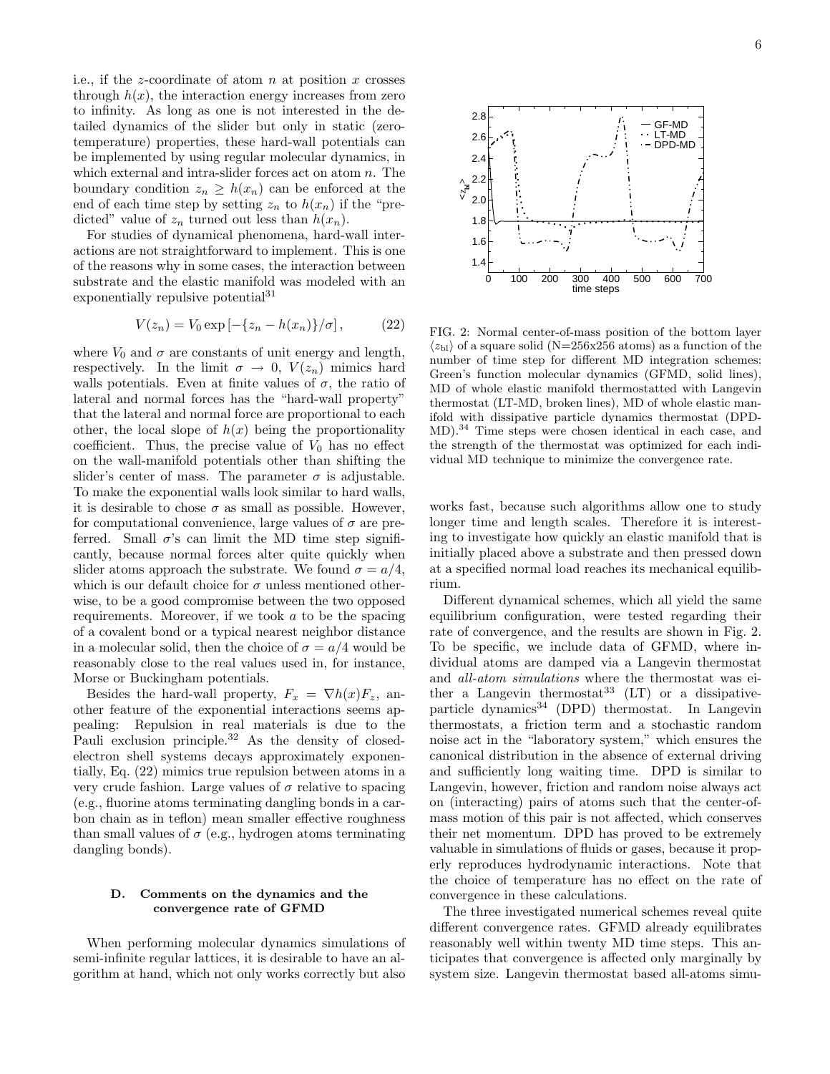i.e., if the z-coordinate of atom  $n$  at position  $x$  crosses through  $h(x)$ , the interaction energy increases from zero to infinity. As long as one is not interested in the detailed dynamics of the slider but only in static (zerotemperature) properties, these hard-wall potentials can be implemented by using regular molecular dynamics, in which external and intra-slider forces act on atom  $n$ . The boundary condition  $z_n \geq h(x_n)$  can be enforced at the end of each time step by setting  $z_n$  to  $h(x_n)$  if the "predicted" value of  $z_n$  turned out less than  $h(x_n)$ .

For studies of dynamical phenomena, hard-wall interactions are not straightforward to implement. This is one of the reasons why in some cases, the interaction between substrate and the elastic manifold was modeled with an exponentially repulsive potential<sup>31</sup>

$$
V(z_n) = V_0 \exp \left[ -\{z_n - h(x_n)\} / \sigma \right],
$$
 (22)

where  $V_0$  and  $\sigma$  are constants of unit energy and length, respectively. In the limit  $\sigma \to 0$ ,  $V(z_n)$  mimics hard walls potentials. Even at finite values of  $\sigma$ , the ratio of lateral and normal forces has the "hard-wall property" that the lateral and normal force are proportional to each other, the local slope of  $h(x)$  being the proportionality coefficient. Thus, the precise value of  $V_0$  has no effect on the wall-manifold potentials other than shifting the slider's center of mass. The parameter  $\sigma$  is adjustable. To make the exponential walls look similar to hard walls, it is desirable to chose  $\sigma$  as small as possible. However, for computational convenience, large values of  $\sigma$  are preferred. Small  $\sigma$ 's can limit the MD time step significantly, because normal forces alter quite quickly when slider atoms approach the substrate. We found  $\sigma = a/4$ , which is our default choice for  $\sigma$  unless mentioned otherwise, to be a good compromise between the two opposed requirements. Moreover, if we took a to be the spacing of a covalent bond or a typical nearest neighbor distance in a molecular solid, then the choice of  $\sigma = a/4$  would be reasonably close to the real values used in, for instance, Morse or Buckingham potentials.

Besides the hard-wall property,  $F_x = \nabla h(x) F_z$ , another feature of the exponential interactions seems appealing: Repulsion in real materials is due to the Pauli exclusion principle.<sup>32</sup> As the density of closedelectron shell systems decays approximately exponentially, Eq. (22) mimics true repulsion between atoms in a very crude fashion. Large values of  $\sigma$  relative to spacing (e.g., fluorine atoms terminating dangling bonds in a carbon chain as in teflon) mean smaller effective roughness than small values of  $\sigma$  (e.g., hydrogen atoms terminating dangling bonds).

### D. Comments on the dynamics and the convergence rate of GFMD

When performing molecular dynamics simulations of semi-infinite regular lattices, it is desirable to have an algorithm at hand, which not only works correctly but also



FIG. 2: Normal center-of-mass position of the bottom layer  $\langle z_{\rm bl} \rangle$  of a square solid (N=256x256 atoms) as a function of the number of time step for different MD integration schemes: Green's function molecular dynamics (GFMD, solid lines), MD of whole elastic manifold thermostatted with Langevin thermostat (LT-MD, broken lines), MD of whole elastic manifold with dissipative particle dynamics thermostat (DPD-MD).<sup>34</sup> Time steps were chosen identical in each case, and the strength of the thermostat was optimized for each individual MD technique to minimize the convergence rate.

works fast, because such algorithms allow one to study longer time and length scales. Therefore it is interesting to investigate how quickly an elastic manifold that is initially placed above a substrate and then pressed down at a specified normal load reaches its mechanical equilibrium.

Different dynamical schemes, which all yield the same equilibrium configuration, were tested regarding their rate of convergence, and the results are shown in Fig. 2. To be specific, we include data of GFMD, where individual atoms are damped via a Langevin thermostat and all-atom simulations where the thermostat was either a Langevin thermostat<sup>33</sup> (LT) or a dissipativeparticle dynamics<sup>34</sup> (DPD) thermostat. In Langevin thermostats, a friction term and a stochastic random noise act in the "laboratory system," which ensures the canonical distribution in the absence of external driving and sufficiently long waiting time. DPD is similar to Langevin, however, friction and random noise always act on (interacting) pairs of atoms such that the center-ofmass motion of this pair is not affected, which conserves their net momentum. DPD has proved to be extremely valuable in simulations of fluids or gases, because it properly reproduces hydrodynamic interactions. Note that the choice of temperature has no effect on the rate of convergence in these calculations.

The three investigated numerical schemes reveal quite different convergence rates. GFMD already equilibrates reasonably well within twenty MD time steps. This anticipates that convergence is affected only marginally by system size. Langevin thermostat based all-atoms simu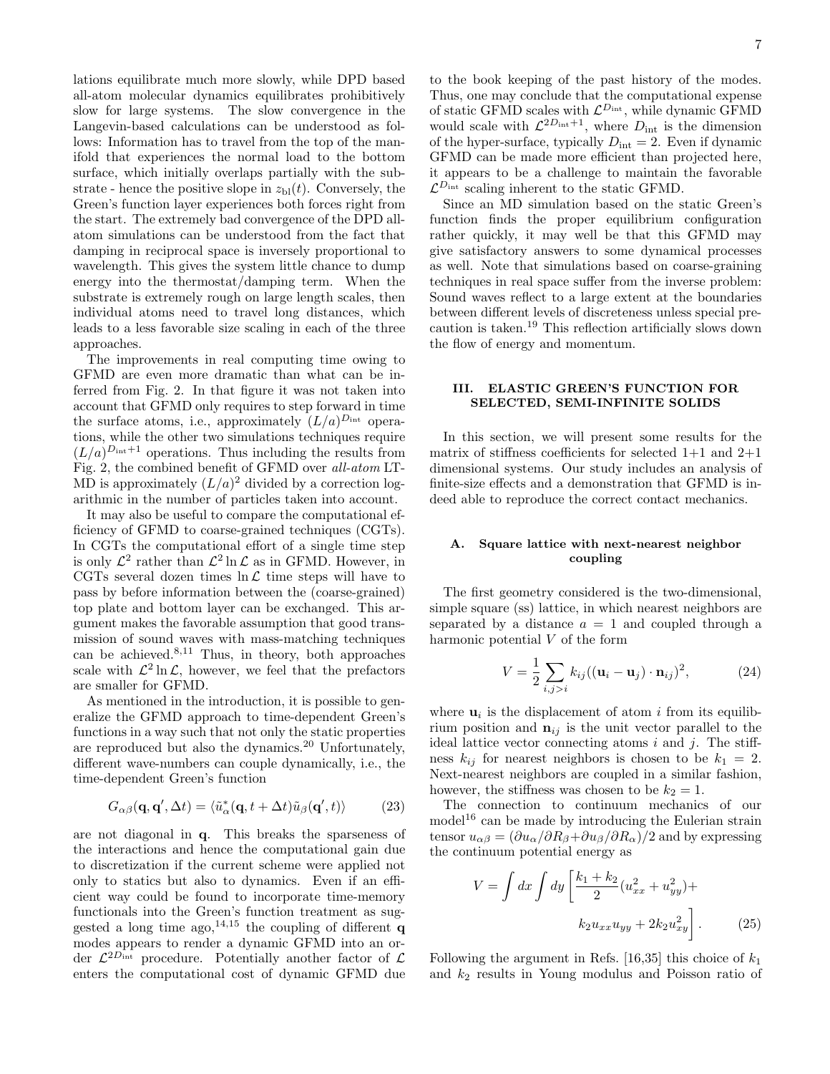lations equilibrate much more slowly, while DPD based all-atom molecular dynamics equilibrates prohibitively slow for large systems. The slow convergence in the Langevin-based calculations can be understood as follows: Information has to travel from the top of the manifold that experiences the normal load to the bottom surface, which initially overlaps partially with the substrate - hence the positive slope in  $z<sub>bl</sub>(t)$ . Conversely, the Green's function layer experiences both forces right from the start. The extremely bad convergence of the DPD allatom simulations can be understood from the fact that damping in reciprocal space is inversely proportional to wavelength. This gives the system little chance to dump energy into the thermostat/damping term. When the substrate is extremely rough on large length scales, then individual atoms need to travel long distances, which leads to a less favorable size scaling in each of the three approaches.

The improvements in real computing time owing to GFMD are even more dramatic than what can be inferred from Fig. 2. In that figure it was not taken into account that GFMD only requires to step forward in time the surface atoms, i.e., approximately  $(L/a)^{D_{int}}$  operations, while the other two simulations techniques require  $(L/a)^{D_{\text{int}}+1}$  operations. Thus including the results from Fig. 2, the combined benefit of GFMD over all-atom LT-MD is approximately  $(L/a)^2$  divided by a correction logarithmic in the number of particles taken into account.

It may also be useful to compare the computational efficiency of GFMD to coarse-grained techniques (CGTs). In CGTs the computational effort of a single time step is only  $\mathcal{L}^2$  rather than  $\mathcal{L}^2 \ln \mathcal{L}$  as in GFMD. However, in CGTs several dozen times  $\ln \mathcal{L}$  time steps will have to pass by before information between the (coarse-grained) top plate and bottom layer can be exchanged. This argument makes the favorable assumption that good transmission of sound waves with mass-matching techniques can be achieved.<sup>8,11</sup> Thus, in theory, both approaches scale with  $\mathcal{L}^2 \ln \mathcal{L}$ , however, we feel that the prefactors are smaller for GFMD.

As mentioned in the introduction, it is possible to generalize the GFMD approach to time-dependent Green's functions in a way such that not only the static properties are reproduced but also the dynamics.<sup>20</sup> Unfortunately, different wave-numbers can couple dynamically, i.e., the time-dependent Green's function

$$
G_{\alpha\beta}(\mathbf{q}, \mathbf{q}', \Delta t) = \langle \tilde{u}_{\alpha}^*(\mathbf{q}, t + \Delta t) \tilde{u}_{\beta}(\mathbf{q}', t) \rangle \tag{23}
$$

are not diagonal in q. This breaks the sparseness of the interactions and hence the computational gain due to discretization if the current scheme were applied not only to statics but also to dynamics. Even if an efficient way could be found to incorporate time-memory functionals into the Green's function treatment as suggested a long time ago,  $14,15$  the coupling of different q modes appears to render a dynamic GFMD into an order  $\mathcal{L}^{2D_{\text{int}}}$  procedure. Potentially another factor of  $\mathcal{L}$ enters the computational cost of dynamic GFMD due

to the book keeping of the past history of the modes. Thus, one may conclude that the computational expense of static GFMD scales with  $\mathcal{L}^{D_{\text{int}}}$ , while dynamic GFMD would scale with  $\mathcal{L}^{2D_{int}+1}$ , where  $D_{int}$  is the dimension of the hyper-surface, typically  $D_{\text{int}} = 2$ . Even if dynamic GFMD can be made more efficient than projected here, it appears to be a challenge to maintain the favorable  $\mathcal{L}^{D_{\text{int}}}$  scaling inherent to the static GFMD.

Since an MD simulation based on the static Green's function finds the proper equilibrium configuration rather quickly, it may well be that this GFMD may give satisfactory answers to some dynamical processes as well. Note that simulations based on coarse-graining techniques in real space suffer from the inverse problem: Sound waves reflect to a large extent at the boundaries between different levels of discreteness unless special precaution is taken.<sup>19</sup> This reflection artificially slows down the flow of energy and momentum.

## III. ELASTIC GREEN'S FUNCTION FOR SELECTED, SEMI-INFINITE SOLIDS

In this section, we will present some results for the matrix of stiffness coefficients for selected  $1+1$  and  $2+1$ dimensional systems. Our study includes an analysis of finite-size effects and a demonstration that GFMD is indeed able to reproduce the correct contact mechanics.

## A. Square lattice with next-nearest neighbor coupling

The first geometry considered is the two-dimensional, simple square (ss) lattice, in which nearest neighbors are separated by a distance  $a = 1$  and coupled through a harmonic potential V of the form

$$
V = \frac{1}{2} \sum_{i,j>i} k_{ij} ((\mathbf{u}_i - \mathbf{u}_j) \cdot \mathbf{n}_{ij})^2,
$$
 (24)

where  $\mathbf{u}_i$  is the displacement of atom if from its equilibrium position and  $n_{ij}$  is the unit vector parallel to the ideal lattice vector connecting atoms  $i$  and  $j$ . The stiffness  $k_{ij}$  for nearest neighbors is chosen to be  $k_1 = 2$ . Next-nearest neighbors are coupled in a similar fashion, however, the stiffness was chosen to be  $k_2 = 1$ .

The connection to continuum mechanics of our  $model<sup>16</sup>$  can be made by introducing the Eulerian strain tensor  $u_{\alpha\beta} = (\partial u_{\alpha}/\partial R_{\beta} + \partial u_{\beta}/\partial R_{\alpha})/2$  and by expressing the continuum potential energy as

$$
V = \int dx \int dy \left[ \frac{k_1 + k_2}{2} (u_{xx}^2 + u_{yy}^2) + \right. \\
\left. k_2 u_{xx} u_{yy} + 2k_2 u_{xy}^2 \right].
$$
\n(25)

Following the argument in Refs. [16,35] this choice of  $k_1$ and  $k_2$  results in Young modulus and Poisson ratio of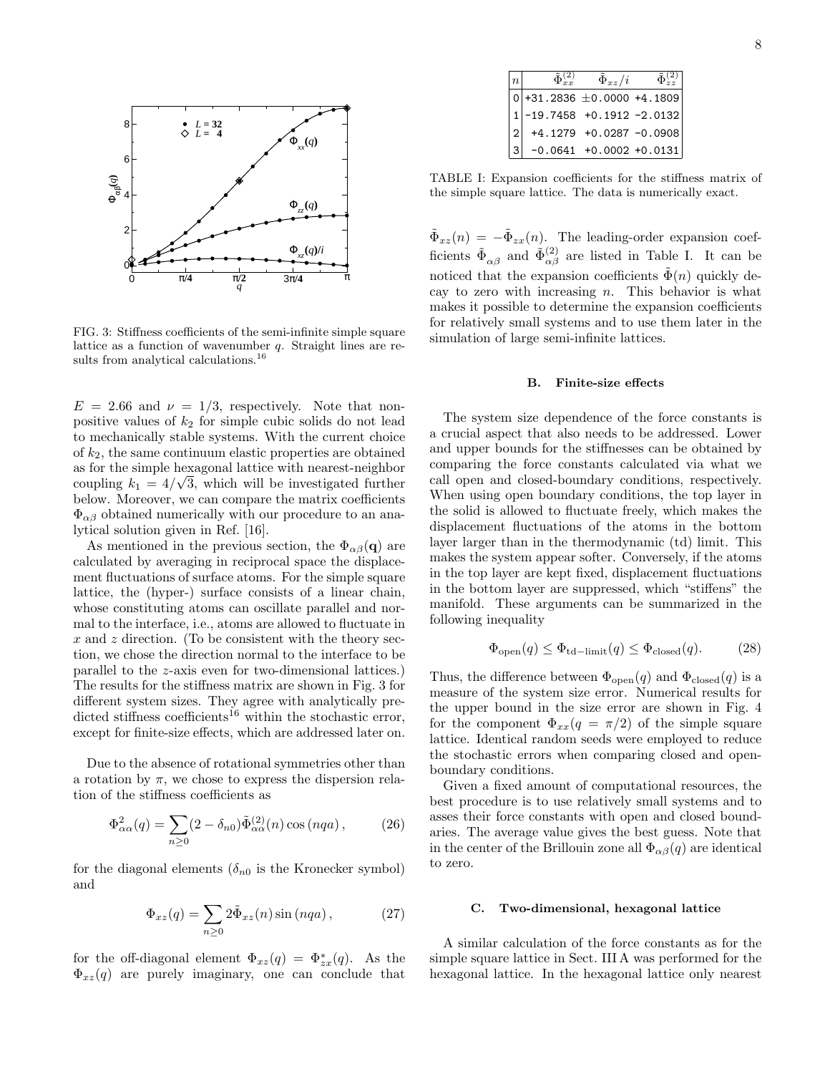

FIG. 3: Stiffness coefficients of the semi-infinite simple square lattice as a function of wavenumber q. Straight lines are results from analytical calculations.<sup>16</sup>

 $E = 2.66$  and  $\nu = 1/3$ , respectively. Note that nonpositive values of  $k_2$  for simple cubic solids do not lead to mechanically stable systems. With the current choice of  $k_2$ , the same continuum elastic properties are obtained as for the simple hexagonal lattice with nearest-neighbor coupling  $k_1 = 4/\sqrt{3}$ , which will be investigated further below. Moreover, we can compare the matrix coefficients  $\Phi_{\alpha\beta}$  obtained numerically with our procedure to an analytical solution given in Ref. [16].

As mentioned in the previous section, the  $\Phi_{\alpha\beta}(\mathbf{q})$  are calculated by averaging in reciprocal space the displacement fluctuations of surface atoms. For the simple square lattice, the (hyper-) surface consists of a linear chain, whose constituting atoms can oscillate parallel and normal to the interface, i.e., atoms are allowed to fluctuate in  $x$  and  $z$  direction. (To be consistent with the theory section, we chose the direction normal to the interface to be parallel to the z-axis even for two-dimensional lattices.) The results for the stiffness matrix are shown in Fig. 3 for different system sizes. They agree with analytically predicted stiffness coefficients<sup>16</sup> within the stochastic error, except for finite-size effects, which are addressed later on.

Due to the absence of rotational symmetries other than a rotation by  $\pi$ , we chose to express the dispersion relation of the stiffness coefficients as

$$
\Phi_{\alpha\alpha}^2(q) = \sum_{n\geq 0} (2 - \delta_{n0}) \tilde{\Phi}_{\alpha\alpha}^{(2)}(n) \cos(nqa) , \qquad (26)
$$

for the diagonal elements  $(\delta_{n0}$  is the Kronecker symbol) and

$$
\Phi_{xz}(q) = \sum_{n\geq 0} 2\tilde{\Phi}_{xz}(n) \sin(nqa) ,\qquad (27)
$$

for the off-diagonal element  $\Phi_{xz}(q) = \Phi_{zx}^*(q)$ . As the  $\Phi_{xz}(q)$  are purely imaginary, one can conclude that

| $\boldsymbol{n}$ | $\tilde{\Phi}_{xx}^{(2)}$       | $\tilde{\Phi}_{xz}/i$     |  |
|------------------|---------------------------------|---------------------------|--|
|                  | $0+31.2836 \pm 0.0000 + 4.1809$ |                           |  |
|                  | $1$ -19.7458 +0.1912 -2.0132    |                           |  |
| 2                |                                 | $+4.1279$ +0.0287 -0.0908 |  |
| 3                |                                 | $-0.0641$ +0.0002 +0.0131 |  |

TABLE I: Expansion coefficients for the stiffness matrix of the simple square lattice. The data is numerically exact.

 $\tilde{\Phi}_{xz}(n) = -\tilde{\Phi}_{zx}(n)$ . The leading-order expansion coefficients  $\tilde{\Phi}_{\alpha\beta}$  and  $\tilde{\Phi}_{\alpha\beta}^{(2)}$  are listed in Table I. It can be noticed that the expansion coefficients  $\tilde{\Phi}(n)$  quickly decay to zero with increasing  $n$ . This behavior is what makes it possible to determine the expansion coefficients for relatively small systems and to use them later in the simulation of large semi-infinite lattices.

#### B. Finite-size effects

The system size dependence of the force constants is a crucial aspect that also needs to be addressed. Lower and upper bounds for the stiffnesses can be obtained by comparing the force constants calculated via what we call open and closed-boundary conditions, respectively. When using open boundary conditions, the top layer in the solid is allowed to fluctuate freely, which makes the displacement fluctuations of the atoms in the bottom layer larger than in the thermodynamic (td) limit. This makes the system appear softer. Conversely, if the atoms in the top layer are kept fixed, displacement fluctuations in the bottom layer are suppressed, which "stiffens" the manifold. These arguments can be summarized in the following inequality

$$
\Phi_{\text{open}}(q) \le \Phi_{\text{td-limit}}(q) \le \Phi_{\text{closed}}(q). \tag{28}
$$

Thus, the difference between  $\Phi_{\text{open}}(q)$  and  $\Phi_{\text{closed}}(q)$  is a measure of the system size error. Numerical results for the upper bound in the size error are shown in Fig. 4 for the component  $\Phi_{xx}(q = \pi/2)$  of the simple square lattice. Identical random seeds were employed to reduce the stochastic errors when comparing closed and openboundary conditions.

Given a fixed amount of computational resources, the best procedure is to use relatively small systems and to asses their force constants with open and closed boundaries. The average value gives the best guess. Note that in the center of the Brillouin zone all  $\Phi_{\alpha\beta}(q)$  are identical to zero.

#### C. Two-dimensional, hexagonal lattice

A similar calculation of the force constants as for the simple square lattice in Sect. III A was performed for the hexagonal lattice. In the hexagonal lattice only nearest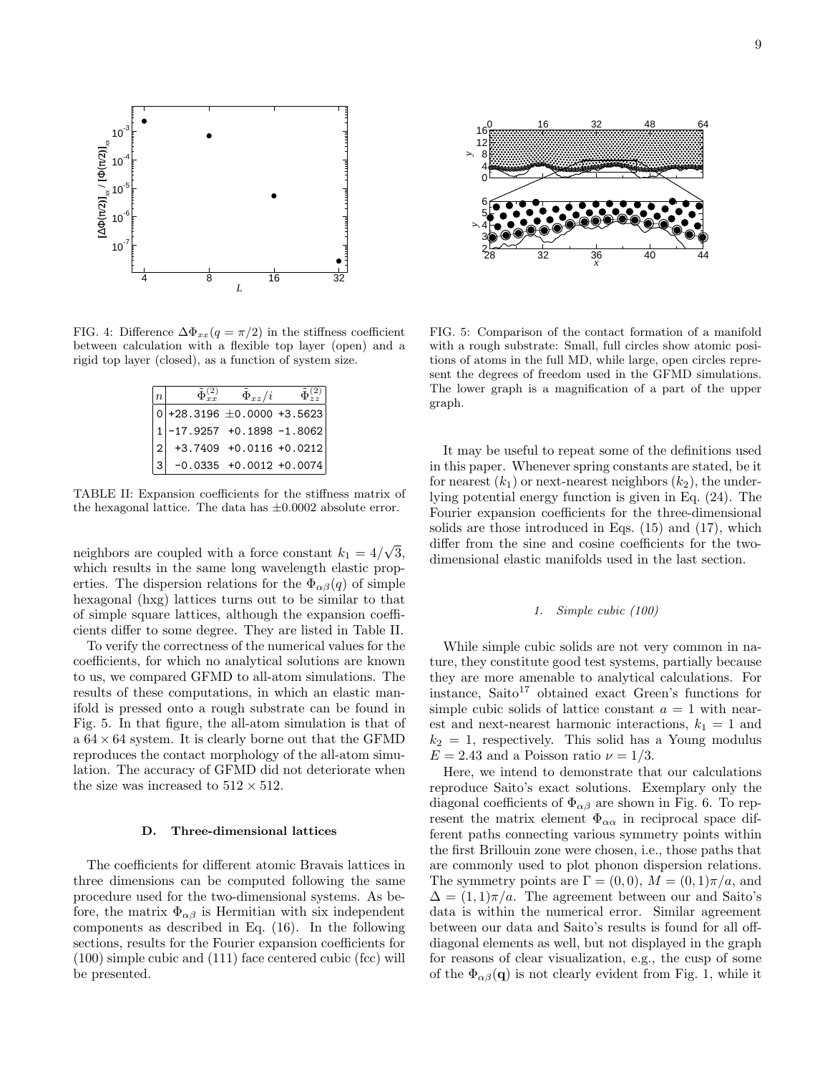

FIG. 4: Difference  $\Delta \Phi_{xx}(q = \pi/2)$  in the stiffness coefficient between calculation with a flexible top layer (open) and a rigid top layer (closed), as a function of system size.

| n              | $\tilde{\Phi}^{(2)}$                    | $\tilde{\Phi}_{xz}/i$       | $\tilde{\Phi}^{(2)}$ |
|----------------|-----------------------------------------|-----------------------------|----------------------|
|                | $\overline{0 +28.3196}$ ±0.0000 +3.5623 |                             |                      |
|                | $-17.9257 + 0.1898 - 1.8062$            |                             |                      |
|                | $ 2 $ +3.7409 +0.0116 +0.0212           |                             |                      |
| 3 <sup>1</sup> |                                         | $-0.0335 + 0.0012 + 0.0074$ |                      |

TABLE II: Expansion coefficients for the stiffness matrix of the hexagonal lattice. The data has  $\pm 0.0002$  absolute error.

neighbors are coupled with a force constant  $k_1 = 4/\sqrt{3}$ , which results in the same long wavelength elastic properties. The dispersion relations for the  $\Phi_{\alpha\beta}(q)$  of simple hexagonal (hxg) lattices turns out to be similar to that of simple square lattices, although the expansion coefficients differ to some degree. They are listed in Table II.

To verify the correctness of the numerical values for the coefficients, for which no analytical solutions are known to us, we compared GFMD to all-atom simulations. The results of these computations, in which an elastic manifold is pressed onto a rough substrate can be found in Fig. 5. In that figure, the all-atom simulation is that of a  $64 \times 64$  system. It is clearly borne out that the GFMD reproduces the contact morphology of the all-atom simulation. The accuracy of GFMD did not deteriorate when the size was increased to  $512 \times 512$ .

#### D. Three-dimensional lattices

The coefficients for different atomic Bravais lattices in three dimensions can be computed following the same procedure used for the two-dimensional systems. As before, the matrix  $\Phi_{\alpha\beta}$  is Hermitian with six independent components as described in Eq. (16). In the following sections, results for the Fourier expansion coefficients for (100) simple cubic and (111) face centered cubic (fcc) will be presented.



FIG. 5: Comparison of the contact formation of a manifold with a rough substrate: Small, full circles show atomic positions of atoms in the full MD, while large, open circles represent the degrees of freedom used in the GFMD simulations. The lower graph is a magnification of a part of the upper graph.

It may be useful to repeat some of the definitions used in this paper. Whenever spring constants are stated, be it for nearest  $(k_1)$  or next-nearest neighbors  $(k_2)$ , the underlying potential energy function is given in Eq. (24). The Fourier expansion coefficients for the three-dimensional solids are those introduced in Eqs. (15) and (17), which differ from the sine and cosine coefficients for the twodimensional elastic manifolds used in the last section.

## 1. Simple cubic (100)

While simple cubic solids are not very common in nature, they constitute good test systems, partially because they are more amenable to analytical calculations. For instance,  $Saito<sup>17</sup>$  obtained exact Green's functions for simple cubic solids of lattice constant  $a = 1$  with nearest and next-nearest harmonic interactions,  $k_1 = 1$  and  $k_2 = 1$ , respectively. This solid has a Young modulus  $E = 2.43$  and a Poisson ratio  $\nu = 1/3$ .

Here, we intend to demonstrate that our calculations reproduce Saito's exact solutions. Exemplary only the diagonal coefficients of  $\Phi_{\alpha\beta}$  are shown in Fig. 6. To represent the matrix element  $\Phi_{\alpha\alpha}$  in reciprocal space different paths connecting various symmetry points within the first Brillouin zone were chosen, i.e., those paths that are commonly used to plot phonon dispersion relations. The symmetry points are  $\Gamma = (0,0), M = (0,1)\pi/a$ , and  $\Delta = (1, 1)\pi/a$ . The agreement between our and Saito's data is within the numerical error. Similar agreement between our data and Saito's results is found for all offdiagonal elements as well, but not displayed in the graph for reasons of clear visualization, e.g., the cusp of some of the  $\Phi_{\alpha\beta}(\mathbf{q})$  is not clearly evident from Fig. 1, while it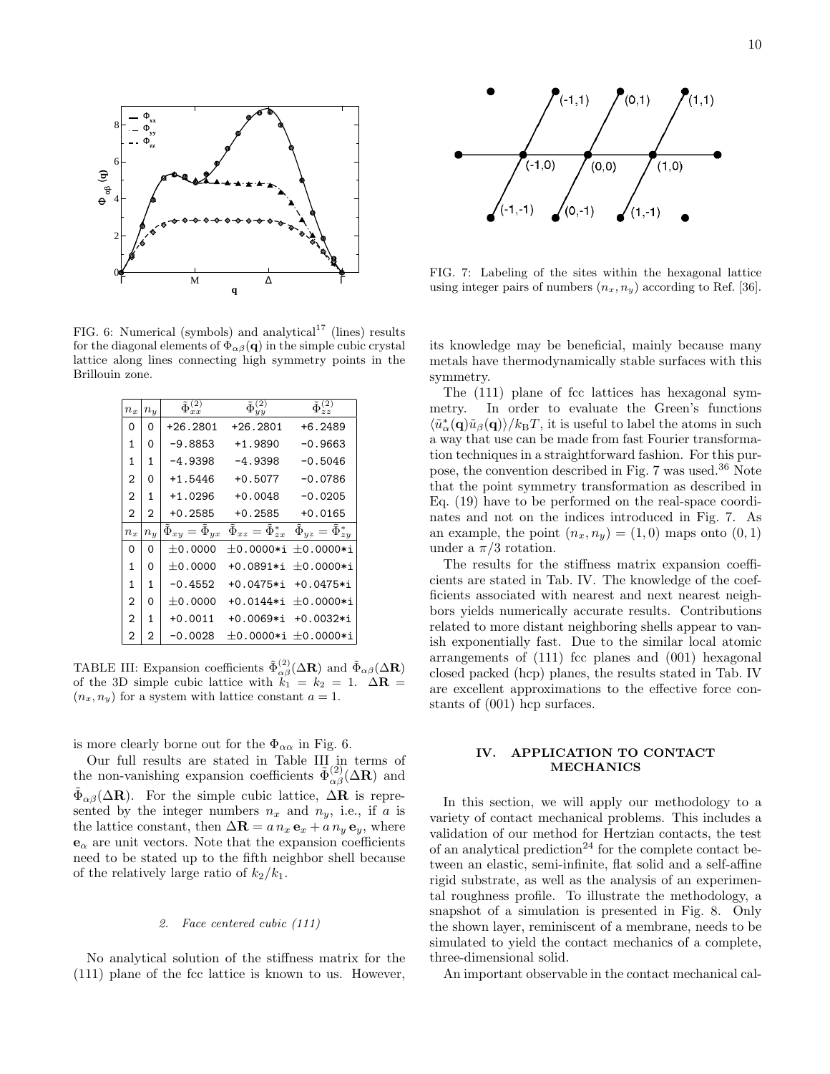

FIG. 6: Numerical (symbols) and analytical<sup>17</sup> (lines) results for the diagonal elements of  $\Phi_{\alpha\beta}(\mathbf{q})$  in the simple cubic crystal lattice along lines connecting high symmetry points in the Brillouin zone.

| $n_x$ | $n_y$        | $\tilde{\Phi}_{xx}^{(2)}$               | $\tilde{\Phi}_{yy}^{(2)}$                 | $\tilde{\Phi}^{(2)}_*$          |
|-------|--------------|-----------------------------------------|-------------------------------------------|---------------------------------|
| 0     | $\Omega$     | $+26.2801$                              | $+26.2801$                                | +6.2489                         |
| 1     | 0            | $-9.8853$                               | $+1.9890$                                 | $-0.9663$                       |
| 1     | 1            | $-4.9398$                               | $-4.9398$                                 | $-0.5046$                       |
| 2     | $\Omega$     | $+1.5446$                               | $+0.5077$                                 | $-0.0786$                       |
| 2     | $\mathbf{1}$ | $+1.0296$                               | $+0.0048$                                 | $-0.0205$                       |
| 2     | 2            | $+0.2585$                               | $+0.2585$                                 | $+0.0165$                       |
| $n_x$ | $n_{\rm u}$  | $\tilde{\Phi}_{xy} = \tilde{\Phi}_{yx}$ | $\tilde{\Phi}_{xz} = \tilde{\Phi}_{zx}^*$ | $\tilde{\Phi}_{yz}=\Phi_{zy}^*$ |
| 0     | 0            |                                         | $+0.0000*$ i                              |                                 |
|       |              | $+0.0000$                               |                                           | $+0.0000*$ i                    |
| 1     | 0            | $+0.0000$                               | +0.0891*i                                 | $+0.0000*$ i                    |
| 1     | 1            | $-0.4552$                               | +0.0475*i                                 | +0.0475*i                       |
| 2     | $\Omega$     | $+0.0000$                               | +0.0144*i                                 | $+0.0000*$ i                    |
| 2     | 1            | $+0.0011$                               |                                           | +0.0069*i +0.0032*i             |

TABLE III: Expansion coefficients  $\tilde{\Phi}^{(2)}_{\alpha\beta}(\Delta \mathbf{R})$  and  $\tilde{\Phi}_{\alpha\beta}(\Delta \mathbf{R})$ of the 3D simple cubic lattice with  $k_1 = k_2 = 1$ .  $\Delta \mathbf{R} =$  $(n_x, n_y)$  for a system with lattice constant  $a = 1$ .

is more clearly borne out for the  $\Phi_{\alpha\alpha}$  in Fig. 6.

Our full results are stated in Table III in terms of the non-vanishing expansion coefficients  $\tilde{\Phi}^{(2)}_{\alpha\beta}(\Delta \mathbf{R})$  and  $\tilde{\Phi}_{\alpha\beta}(\Delta \mathbf{R})$ . For the simple cubic lattice,  $\Delta \mathbf{R}$  is represented by the integer numbers  $n_x$  and  $n_y$ , i.e., if a is the lattice constant, then  $\Delta \mathbf{R} = a n_x \mathbf{e}_x + a n_y \mathbf{e}_y$ , where  $\mathbf{e}_{\alpha}$  are unit vectors. Note that the expansion coefficients need to be stated up to the fifth neighbor shell because of the relatively large ratio of  $k_2/k_1$ .

### 2. Face centered cubic (111)

No analytical solution of the stiffness matrix for the (111) plane of the fcc lattice is known to us. However,



FIG. 7: Labeling of the sites within the hexagonal lattice using integer pairs of numbers  $(n_x, n_y)$  according to Ref. [36].

its knowledge may be beneficial, mainly because many metals have thermodynamically stable surfaces with this symmetry.

The (111) plane of fcc lattices has hexagonal symmetry. In order to evaluate the Green's functions  $\langle \tilde{u}^*_{\alpha}(\mathbf{q})\tilde{u}_{\beta}(\mathbf{q})\rangle/k_{\mathrm{B}}T$ , it is useful to label the atoms in such a way that use can be made from fast Fourier transformation techniques in a straightforward fashion. For this purpose, the convention described in Fig. 7 was used.<sup>36</sup> Note that the point symmetry transformation as described in Eq. (19) have to be performed on the real-space coordinates and not on the indices introduced in Fig. 7. As an example, the point  $(n_x, n_y) = (1, 0)$  maps onto  $(0, 1)$ under a  $\pi/3$  rotation.

The results for the stiffness matrix expansion coefficients are stated in Tab. IV. The knowledge of the coefficients associated with nearest and next nearest neighbors yields numerically accurate results. Contributions related to more distant neighboring shells appear to vanish exponentially fast. Due to the similar local atomic arrangements of (111) fcc planes and (001) hexagonal closed packed (hcp) planes, the results stated in Tab. IV are excellent approximations to the effective force constants of (001) hcp surfaces.

## IV. APPLICATION TO CONTACT MECHANICS

In this section, we will apply our methodology to a variety of contact mechanical problems. This includes a validation of our method for Hertzian contacts, the test of an analytical prediction<sup>24</sup> for the complete contact between an elastic, semi-infinite, flat solid and a self-affine rigid substrate, as well as the analysis of an experimental roughness profile. To illustrate the methodology, a snapshot of a simulation is presented in Fig. 8. Only the shown layer, reminiscent of a membrane, needs to be simulated to yield the contact mechanics of a complete, three-dimensional solid.

An important observable in the contact mechanical cal-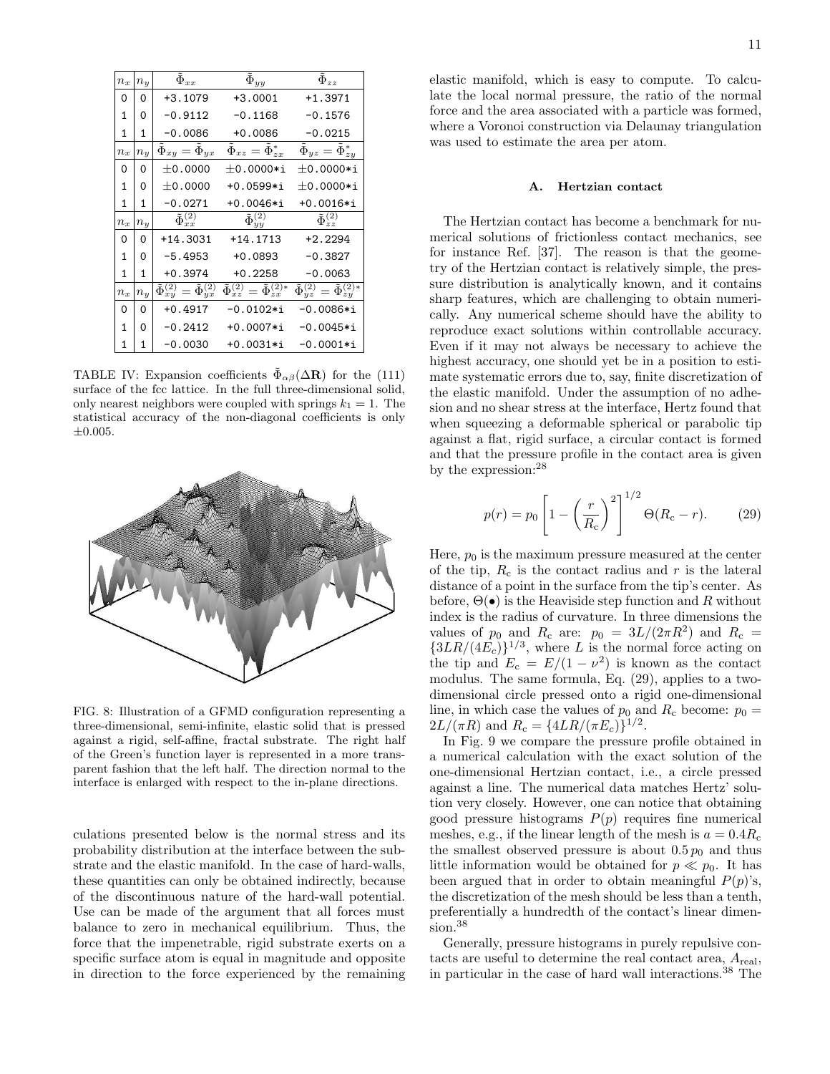| $n_x$        | $n_y$    | $\tilde{\Phi}_{xx}$                               | $\tilde{\Phi}_{yy}$                                  | $\tilde{\Phi}_{zz}$                                      |
|--------------|----------|---------------------------------------------------|------------------------------------------------------|----------------------------------------------------------|
| 0            | $\Omega$ | $+3.1079$                                         | $+3.0001$                                            | $+1.3971$                                                |
| $\mathbf{1}$ | 0        | $-0.9112$                                         | $-0.1168$                                            | $-0.1576$                                                |
| 1            | 1        | $-0.0086$                                         | $+0.0086$                                            | $-0.0215$                                                |
| $n_x$        | $n_y$    | $\tilde{\Phi}_{xy}=\tilde{\Phi}_{yx}$             | $\tilde{\Phi}_{xz}=\tilde{\Phi}_{zx}^*$              | $\tilde{\Phi}_{uz}=\tilde{\Phi}_{zu}^*$                  |
| 0            | 0        | ±0.0000                                           | $+0.0000*$ i                                         | $+0.0000*$ i                                             |
| 1            | 0        | ±0.0000                                           | $+0.0599* i$                                         | $±0.0000*i$                                              |
| 1            | 1        | $-0.0271$                                         | $+0.0046*$ i                                         | $+0.0016*$ i                                             |
| $n_x$        | $n_y$    | $\tilde{\Phi}_{xx}^{(2)}$                         | $\tilde{\Phi}_{yy}^{(2)}$                            | $\tilde{\Phi}_{zz}^{(2)}$                                |
| 0            | O        | $+14.3031$                                        | $+14.1713$                                           | $+2.2294$                                                |
| 1            | 0        | $-5.4953$                                         | $+0.0893$                                            | $-0.3827$                                                |
| 1            | 1        | $+0.3974$                                         | $+0.2258$                                            | $-0.0063$                                                |
| $n_x$        | $n_{y}$  | $\tilde{\Phi}^{(2)}_{xy}=\tilde{\Phi}^{(2)}_{yx}$ | $\tilde{\Phi}_{xz}^{(2)} = \tilde{\Phi}_{zx}^{(2)*}$ | $\tilde{\Phi}_{uz}^{(2)}$<br>$=\tilde{\Phi}_{zy}^{(2)*}$ |
| 0            | 0        | $+0.4917$                                         | $-0.0102* i$                                         | $-0.0086* i$                                             |
| 1            | $\Omega$ | $-0.2412$                                         | $+0.0007*$ i                                         | $-0.0045* i$                                             |
| 1            | 1        | $-0.0030$                                         | +0.0031*i                                            | $-0.0001* i$                                             |

TABLE IV: Expansion coefficients  $\tilde{\Phi}_{\alpha\beta}(\Delta \mathbf{R})$  for the (111) surface of the fcc lattice. In the full three-dimensional solid, only nearest neighbors were coupled with springs  $k_1 = 1$ . The statistical accuracy of the non-diagonal coefficients is only  $\pm 0.005$ .



FIG. 8: Illustration of a GFMD configuration representing a three-dimensional, semi-infinite, elastic solid that is pressed against a rigid, self-affine, fractal substrate. The right half of the Green's function layer is represented in a more transparent fashion that the left half. The direction normal to the interface is enlarged with respect to the in-plane directions.

culations presented below is the normal stress and its probability distribution at the interface between the substrate and the elastic manifold. In the case of hard-walls, these quantities can only be obtained indirectly, because of the discontinuous nature of the hard-wall potential. Use can be made of the argument that all forces must balance to zero in mechanical equilibrium. Thus, the force that the impenetrable, rigid substrate exerts on a specific surface atom is equal in magnitude and opposite in direction to the force experienced by the remaining elastic manifold, which is easy to compute. To calculate the local normal pressure, the ratio of the normal force and the area associated with a particle was formed, where a Voronoi construction via Delaunay triangulation was used to estimate the area per atom.

### A. Hertzian contact

The Hertzian contact has become a benchmark for numerical solutions of frictionless contact mechanics, see for instance Ref. [37]. The reason is that the geometry of the Hertzian contact is relatively simple, the pressure distribution is analytically known, and it contains sharp features, which are challenging to obtain numerically. Any numerical scheme should have the ability to reproduce exact solutions within controllable accuracy. Even if it may not always be necessary to achieve the highest accuracy, one should yet be in a position to estimate systematic errors due to, say, finite discretization of the elastic manifold. Under the assumption of no adhesion and no shear stress at the interface, Hertz found that when squeezing a deformable spherical or parabolic tip against a flat, rigid surface, a circular contact is formed and that the pressure profile in the contact area is given by the expression:<sup>28</sup>

$$
p(r) = p_0 \left[ 1 - \left(\frac{r}{R_c}\right)^2 \right]^{1/2} \Theta(R_c - r). \tag{29}
$$

Here,  $p_0$  is the maximum pressure measured at the center of the tip,  $R_c$  is the contact radius and r is the lateral distance of a point in the surface from the tip's center. As before,  $\Theta(\bullet)$  is the Heaviside step function and R without index is the radius of curvature. In three dimensions the values of  $p_0$  and  $R_c$  are:  $p_0 = 3L/(2\pi R^2)$  and  $R_c =$  $\{3LR/(4E_c)\}\}^{1/3}$ , where L is the normal force acting on the tip and  $E_c = E/(1 - \nu^2)$  is known as the contact modulus. The same formula, Eq. (29), applies to a twodimensional circle pressed onto a rigid one-dimensional line, in which case the values of  $p_0$  and  $R_c$  become:  $p_0 =$  $2L/(\pi R)$  and  $R_c = {4LR/(\pi E_c)}^{1/2}$ .

In Fig. 9 we compare the pressure profile obtained in a numerical calculation with the exact solution of the one-dimensional Hertzian contact, i.e., a circle pressed against a line. The numerical data matches Hertz' solution very closely. However, one can notice that obtaining good pressure histograms  $P(p)$  requires fine numerical meshes, e.g., if the linear length of the mesh is  $a = 0.4R_c$ the smallest observed pressure is about  $0.5 p_0$  and thus little information would be obtained for  $p \ll p_0$ . It has been argued that in order to obtain meaningful  $P(p)$ 's, the discretization of the mesh should be less than a tenth, preferentially a hundredth of the contact's linear dimension.<sup>38</sup>

Generally, pressure histograms in purely repulsive contacts are useful to determine the real contact area,  $A_{\text{real}}$ , in particular in the case of hard wall interactions.<sup>38</sup> The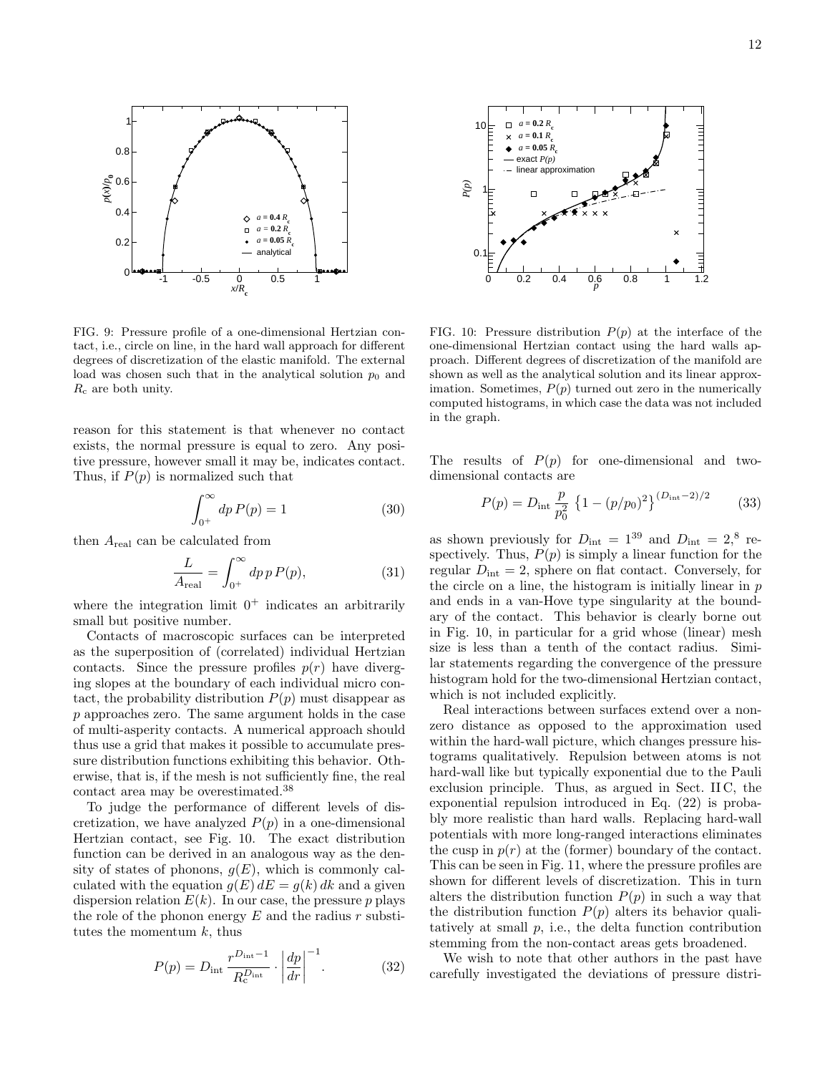

FIG. 9: Pressure profile of a one-dimensional Hertzian contact, i.e., circle on line, in the hard wall approach for different degrees of discretization of the elastic manifold. The external load was chosen such that in the analytical solution  $p_0$  and  $R_c$  are both unity.

reason for this statement is that whenever no contact exists, the normal pressure is equal to zero. Any positive pressure, however small it may be, indicates contact. Thus, if  $P(p)$  is normalized such that

$$
\int_{0^+}^{\infty} dp P(p) = 1 \tag{30}
$$

then  $A_{\text{real}}$  can be calculated from

$$
\frac{L}{A_{\text{real}}} = \int_{0^+}^{\infty} dp \, p \, P(p), \tag{31}
$$

where the integration limit  $0^+$  indicates an arbitrarily small but positive number.

Contacts of macroscopic surfaces can be interpreted as the superposition of (correlated) individual Hertzian contacts. Since the pressure profiles  $p(r)$  have diverging slopes at the boundary of each individual micro contact, the probability distribution  $P(p)$  must disappear as p approaches zero. The same argument holds in the case of multi-asperity contacts. A numerical approach should thus use a grid that makes it possible to accumulate pressure distribution functions exhibiting this behavior. Otherwise, that is, if the mesh is not sufficiently fine, the real contact area may be overestimated.<sup>38</sup>

To judge the performance of different levels of discretization, we have analyzed  $P(p)$  in a one-dimensional Hertzian contact, see Fig. 10. The exact distribution function can be derived in an analogous way as the density of states of phonons,  $q(E)$ , which is commonly calculated with the equation  $g(E) dE = g(k) dk$  and a given dispersion relation  $E(k)$ . In our case, the pressure p plays the role of the phonon energy  $E$  and the radius  $r$  substitutes the momentum  $k$ , thus

$$
P(p) = D_{\text{int}} \frac{r^{D_{\text{int}}-1}}{R_{\text{c}}^{D_{\text{int}}}} \cdot \left| \frac{dp}{dr} \right|^{-1}.
$$
 (32)



FIG. 10: Pressure distribution  $P(p)$  at the interface of the one-dimensional Hertzian contact using the hard walls approach. Different degrees of discretization of the manifold are shown as well as the analytical solution and its linear approximation. Sometimes,  $P(p)$  turned out zero in the numerically computed histograms, in which case the data was not included in the graph.

The results of  $P(p)$  for one-dimensional and twodimensional contacts are

$$
P(p) = D_{\text{int}} \frac{p}{p_0^2} \left\{ 1 - (p/p_0)^2 \right\}^{(D_{\text{int}} - 2)/2} \tag{33}
$$

as shown previously for  $D_{\text{int}} = 1^{39}$  and  $D_{\text{int}} = 2,8$  respectively. Thus,  $P(p)$  is simply a linear function for the regular  $D_{\text{int}} = 2$ , sphere on flat contact. Conversely, for the circle on a line, the histogram is initially linear in  $p$ and ends in a van-Hove type singularity at the boundary of the contact. This behavior is clearly borne out in Fig. 10, in particular for a grid whose (linear) mesh size is less than a tenth of the contact radius. Similar statements regarding the convergence of the pressure histogram hold for the two-dimensional Hertzian contact, which is not included explicitly.

Real interactions between surfaces extend over a nonzero distance as opposed to the approximation used within the hard-wall picture, which changes pressure histograms qualitatively. Repulsion between atoms is not hard-wall like but typically exponential due to the Pauli exclusion principle. Thus, as argued in Sect. II C, the exponential repulsion introduced in Eq. (22) is probably more realistic than hard walls. Replacing hard-wall potentials with more long-ranged interactions eliminates the cusp in  $p(r)$  at the (former) boundary of the contact. This can be seen in Fig. 11, where the pressure profiles are shown for different levels of discretization. This in turn alters the distribution function  $P(p)$  in such a way that the distribution function  $P(p)$  alters its behavior qualitatively at small  $p$ , i.e., the delta function contribution stemming from the non-contact areas gets broadened.

We wish to note that other authors in the past have carefully investigated the deviations of pressure distri-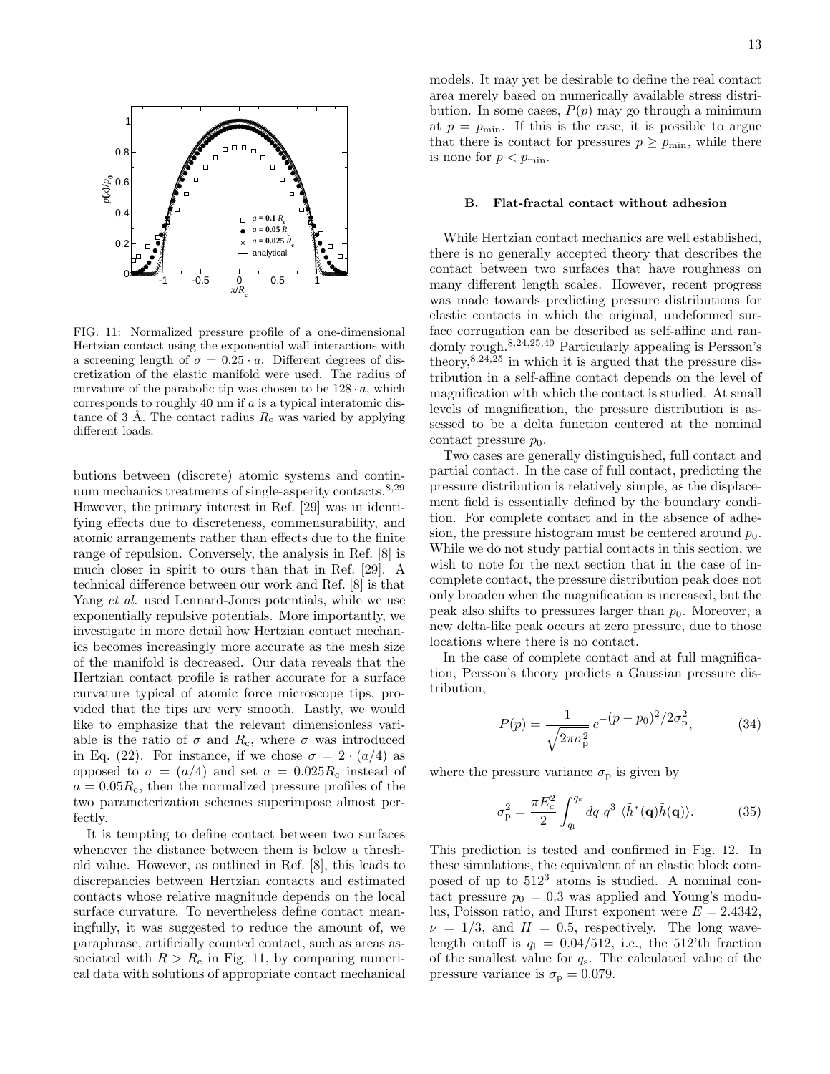

FIG. 11: Normalized pressure profile of a one-dimensional Hertzian contact using the exponential wall interactions with a screening length of  $\sigma = 0.25 \cdot a$ . Different degrees of discretization of the elastic manifold were used. The radius of curvature of the parabolic tip was chosen to be  $128 \cdot a$ , which corresponds to roughly 40 nm if  $a$  is a typical interatomic distance of 3 Å. The contact radius  $R_c$  was varied by applying different loads.

butions between (discrete) atomic systems and continuum mechanics treatments of single-asperity contacts.<sup>8,29</sup> However, the primary interest in Ref. [29] was in identifying effects due to discreteness, commensurability, and atomic arrangements rather than effects due to the finite range of repulsion. Conversely, the analysis in Ref. [8] is much closer in spirit to ours than that in Ref. [29]. A technical difference between our work and Ref. [8] is that Yang et al. used Lennard-Jones potentials, while we use exponentially repulsive potentials. More importantly, we investigate in more detail how Hertzian contact mechanics becomes increasingly more accurate as the mesh size of the manifold is decreased. Our data reveals that the Hertzian contact profile is rather accurate for a surface curvature typical of atomic force microscope tips, provided that the tips are very smooth. Lastly, we would like to emphasize that the relevant dimensionless variable is the ratio of  $\sigma$  and  $R_c$ , where  $\sigma$  was introduced in Eq. (22). For instance, if we chose  $\sigma = 2 \cdot (a/4)$  as opposed to  $\sigma = (a/4)$  and set  $a = 0.025R_c$  instead of  $a = 0.05R_c$ , then the normalized pressure profiles of the two parameterization schemes superimpose almost perfectly.

It is tempting to define contact between two surfaces whenever the distance between them is below a threshold value. However, as outlined in Ref. [8], this leads to discrepancies between Hertzian contacts and estimated contacts whose relative magnitude depends on the local surface curvature. To nevertheless define contact meaningfully, it was suggested to reduce the amount of, we paraphrase, artificially counted contact, such as areas associated with  $R > R_c$  in Fig. 11, by comparing numerical data with solutions of appropriate contact mechanical

models. It may yet be desirable to define the real contact area merely based on numerically available stress distribution. In some cases,  $P(p)$  may go through a minimum at  $p = p_{\text{min}}$ . If this is the case, it is possible to argue that there is contact for pressures  $p \ge p_{\min}$ , while there is none for  $p < p_{\min}$ .

#### B. Flat-fractal contact without adhesion

While Hertzian contact mechanics are well established, there is no generally accepted theory that describes the contact between two surfaces that have roughness on many different length scales. However, recent progress was made towards predicting pressure distributions for elastic contacts in which the original, undeformed surface corrugation can be described as self-affine and randomly rough.8,24,25,40 Particularly appealing is Persson's theory,  $8,24,25$  in which it is argued that the pressure distribution in a self-affine contact depends on the level of magnification with which the contact is studied. At small levels of magnification, the pressure distribution is assessed to be a delta function centered at the nominal contact pressure  $p_0$ .

Two cases are generally distinguished, full contact and partial contact. In the case of full contact, predicting the pressure distribution is relatively simple, as the displacement field is essentially defined by the boundary condition. For complete contact and in the absence of adhesion, the pressure histogram must be centered around  $p_0$ . While we do not study partial contacts in this section, we wish to note for the next section that in the case of incomplete contact, the pressure distribution peak does not only broaden when the magnification is increased, but the peak also shifts to pressures larger than  $p_0$ . Moreover, a new delta-like peak occurs at zero pressure, due to those locations where there is no contact.

In the case of complete contact and at full magnification, Persson's theory predicts a Gaussian pressure distribution,

$$
P(p) = \frac{1}{\sqrt{2\pi\sigma_p^2}} e^{-(p-p_0)^2/2\sigma_p^2},
$$
 (34)

where the pressure variance  $\sigma_{\rm p}$  is given by

$$
\sigma_{\rm p}^2 = \frac{\pi E_c^2}{2} \int_{q_1}^{q_s} dq \ q^3 \ \langle \tilde{h}^*(\mathbf{q}) \tilde{h}(\mathbf{q}) \rangle. \tag{35}
$$

This prediction is tested and confirmed in Fig. 12. In these simulations, the equivalent of an elastic block composed of up to  $512<sup>3</sup>$  atoms is studied. A nominal contact pressure  $p_0 = 0.3$  was applied and Young's modulus, Poisson ratio, and Hurst exponent were  $E = 2.4342$ ,  $\nu = 1/3$ , and  $H = 0.5$ , respectively. The long wavelength cutoff is  $q_1 = 0.04/512$ , i.e., the 512'th fraction of the smallest value for  $q_s$ . The calculated value of the pressure variance is  $\sigma_{\rm p} = 0.079$ .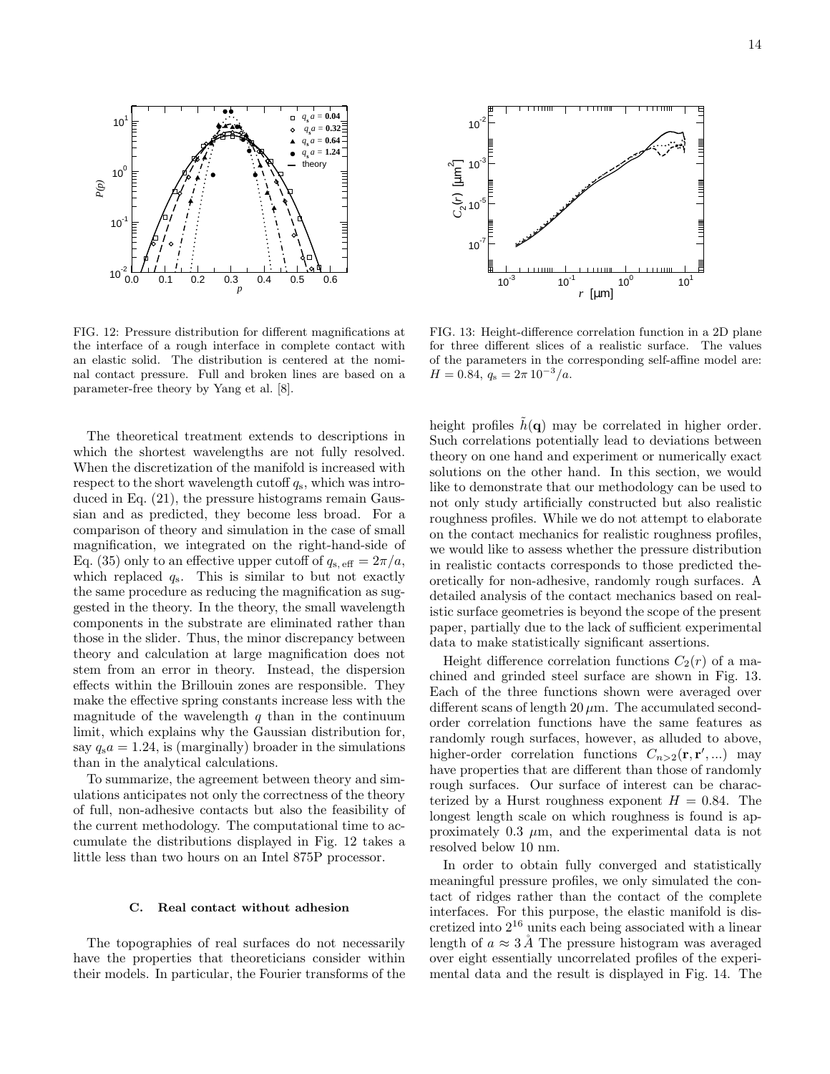

FIG. 12: Pressure distribution for different magnifications at the interface of a rough interface in complete contact with an elastic solid. The distribution is centered at the nominal contact pressure. Full and broken lines are based on a parameter-free theory by Yang et al. [8].

The theoretical treatment extends to descriptions in which the shortest wavelengths are not fully resolved. When the discretization of the manifold is increased with respect to the short wavelength cutoff  $q_s$ , which was introduced in Eq. (21), the pressure histograms remain Gaussian and as predicted, they become less broad. For a comparison of theory and simulation in the case of small magnification, we integrated on the right-hand-side of Eq. (35) only to an effective upper cutoff of  $q_{\rm s, eff} = 2\pi/a$ , which replaced  $q_s$ . This is similar to but not exactly the same procedure as reducing the magnification as suggested in the theory. In the theory, the small wavelength components in the substrate are eliminated rather than those in the slider. Thus, the minor discrepancy between theory and calculation at large magnification does not stem from an error in theory. Instead, the dispersion effects within the Brillouin zones are responsible. They make the effective spring constants increase less with the magnitude of the wavelength  $q$  than in the continuum limit, which explains why the Gaussian distribution for, say  $q_s a = 1.24$ , is (marginally) broader in the simulations than in the analytical calculations.

To summarize, the agreement between theory and simulations anticipates not only the correctness of the theory of full, non-adhesive contacts but also the feasibility of the current methodology. The computational time to accumulate the distributions displayed in Fig. 12 takes a little less than two hours on an Intel 875P processor.

### C. Real contact without adhesion

The topographies of real surfaces do not necessarily have the properties that theoreticians consider within their models. In particular, the Fourier transforms of the



FIG. 13: Height-difference correlation function in a 2D plane for three different slices of a realistic surface. The values of the parameters in the corresponding self-affine model are:  $H = 0.84, q_s = 2\pi 10^{-3}/a.$ 

height profiles  $\hat{h}(\mathbf{q})$  may be correlated in higher order. Such correlations potentially lead to deviations between theory on one hand and experiment or numerically exact solutions on the other hand. In this section, we would like to demonstrate that our methodology can be used to not only study artificially constructed but also realistic roughness profiles. While we do not attempt to elaborate on the contact mechanics for realistic roughness profiles, we would like to assess whether the pressure distribution in realistic contacts corresponds to those predicted theoretically for non-adhesive, randomly rough surfaces. A detailed analysis of the contact mechanics based on realistic surface geometries is beyond the scope of the present paper, partially due to the lack of sufficient experimental data to make statistically significant assertions.

Height difference correlation functions  $C_2(r)$  of a machined and grinded steel surface are shown in Fig. 13. Each of the three functions shown were averaged over different scans of length  $20 \mu m$ . The accumulated secondorder correlation functions have the same features as randomly rough surfaces, however, as alluded to above, higher-order correlation functions  $C_{n>2}(\mathbf{r}, \mathbf{r}', \ldots)$  may have properties that are different than those of randomly rough surfaces. Our surface of interest can be characterized by a Hurst roughness exponent  $H = 0.84$ . The longest length scale on which roughness is found is approximately 0.3  $\mu$ m, and the experimental data is not resolved below 10 nm.

In order to obtain fully converged and statistically meaningful pressure profiles, we only simulated the contact of ridges rather than the contact of the complete interfaces. For this purpose, the elastic manifold is discretized into 2<sup>16</sup> units each being associated with a linear length of  $a \approx 3 \AA$  The pressure histogram was averaged over eight essentially uncorrelated profiles of the experimental data and the result is displayed in Fig. 14. The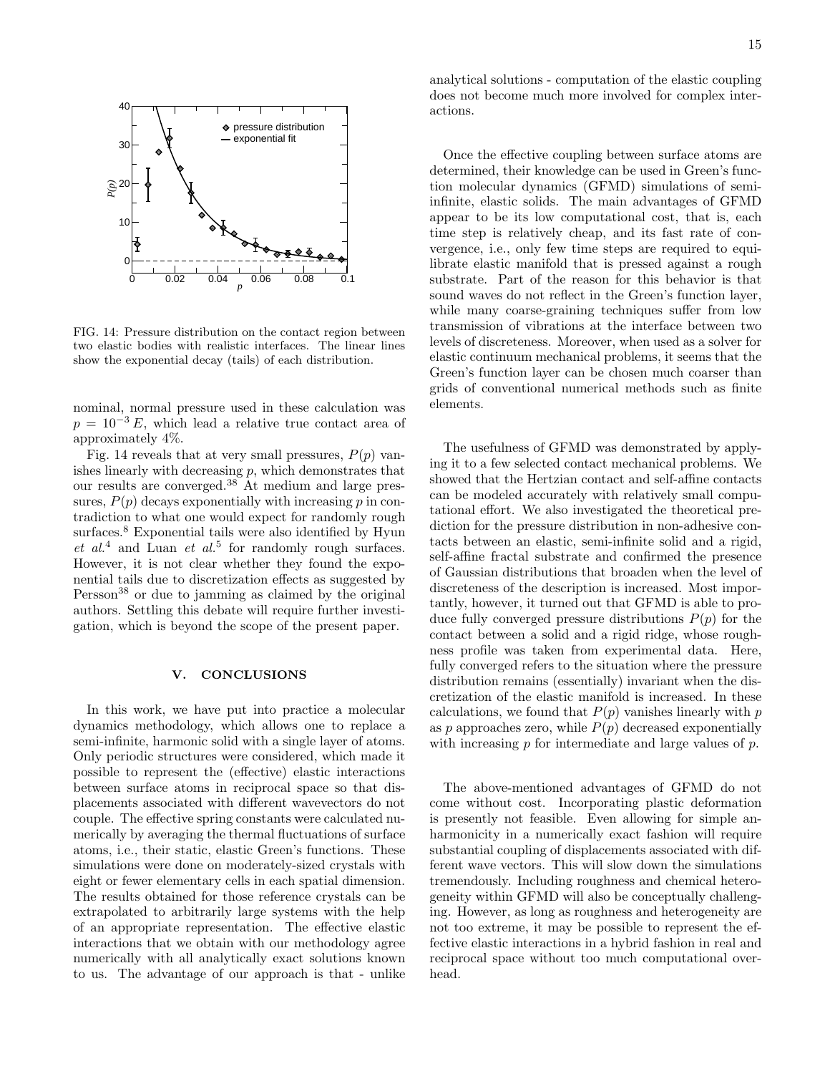

FIG. 14: Pressure distribution on the contact region between two elastic bodies with realistic interfaces. The linear lines show the exponential decay (tails) of each distribution.

nominal, normal pressure used in these calculation was  $p = 10^{-3} E$ , which lead a relative true contact area of approximately 4%.

Fig. 14 reveals that at very small pressures,  $P(p)$  vanishes linearly with decreasing  $p$ , which demonstrates that our results are converged.<sup>38</sup> At medium and large pressures,  $P(p)$  decays exponentially with increasing p in contradiction to what one would expect for randomly rough surfaces.<sup>8</sup> Exponential tails were also identified by Hyun  $et \ al.<sup>4</sup>$  and Luan  $et \ al.<sup>5</sup>$  for randomly rough surfaces. However, it is not clear whether they found the exponential tails due to discretization effects as suggested by Persson<sup>38</sup> or due to jamming as claimed by the original authors. Settling this debate will require further investigation, which is beyond the scope of the present paper.

#### V. CONCLUSIONS

In this work, we have put into practice a molecular dynamics methodology, which allows one to replace a semi-infinite, harmonic solid with a single layer of atoms. Only periodic structures were considered, which made it possible to represent the (effective) elastic interactions between surface atoms in reciprocal space so that displacements associated with different wavevectors do not couple. The effective spring constants were calculated numerically by averaging the thermal fluctuations of surface atoms, i.e., their static, elastic Green's functions. These simulations were done on moderately-sized crystals with eight or fewer elementary cells in each spatial dimension. The results obtained for those reference crystals can be extrapolated to arbitrarily large systems with the help of an appropriate representation. The effective elastic interactions that we obtain with our methodology agree numerically with all analytically exact solutions known to us. The advantage of our approach is that - unlike

Once the effective coupling between surface atoms are determined, their knowledge can be used in Green's function molecular dynamics (GFMD) simulations of semiinfinite, elastic solids. The main advantages of GFMD appear to be its low computational cost, that is, each time step is relatively cheap, and its fast rate of convergence, i.e., only few time steps are required to equilibrate elastic manifold that is pressed against a rough substrate. Part of the reason for this behavior is that sound waves do not reflect in the Green's function layer, while many coarse-graining techniques suffer from low transmission of vibrations at the interface between two levels of discreteness. Moreover, when used as a solver for elastic continuum mechanical problems, it seems that the Green's function layer can be chosen much coarser than grids of conventional numerical methods such as finite elements.

The usefulness of GFMD was demonstrated by applying it to a few selected contact mechanical problems. We showed that the Hertzian contact and self-affine contacts can be modeled accurately with relatively small computational effort. We also investigated the theoretical prediction for the pressure distribution in non-adhesive contacts between an elastic, semi-infinite solid and a rigid, self-affine fractal substrate and confirmed the presence of Gaussian distributions that broaden when the level of discreteness of the description is increased. Most importantly, however, it turned out that GFMD is able to produce fully converged pressure distributions  $P(p)$  for the contact between a solid and a rigid ridge, whose roughness profile was taken from experimental data. Here, fully converged refers to the situation where the pressure distribution remains (essentially) invariant when the discretization of the elastic manifold is increased. In these calculations, we found that  $P(p)$  vanishes linearly with p as p approaches zero, while  $P(p)$  decreased exponentially with increasing  $p$  for intermediate and large values of  $p$ .

The above-mentioned advantages of GFMD do not come without cost. Incorporating plastic deformation is presently not feasible. Even allowing for simple anharmonicity in a numerically exact fashion will require substantial coupling of displacements associated with different wave vectors. This will slow down the simulations tremendously. Including roughness and chemical heterogeneity within GFMD will also be conceptually challenging. However, as long as roughness and heterogeneity are not too extreme, it may be possible to represent the effective elastic interactions in a hybrid fashion in real and reciprocal space without too much computational overhead.